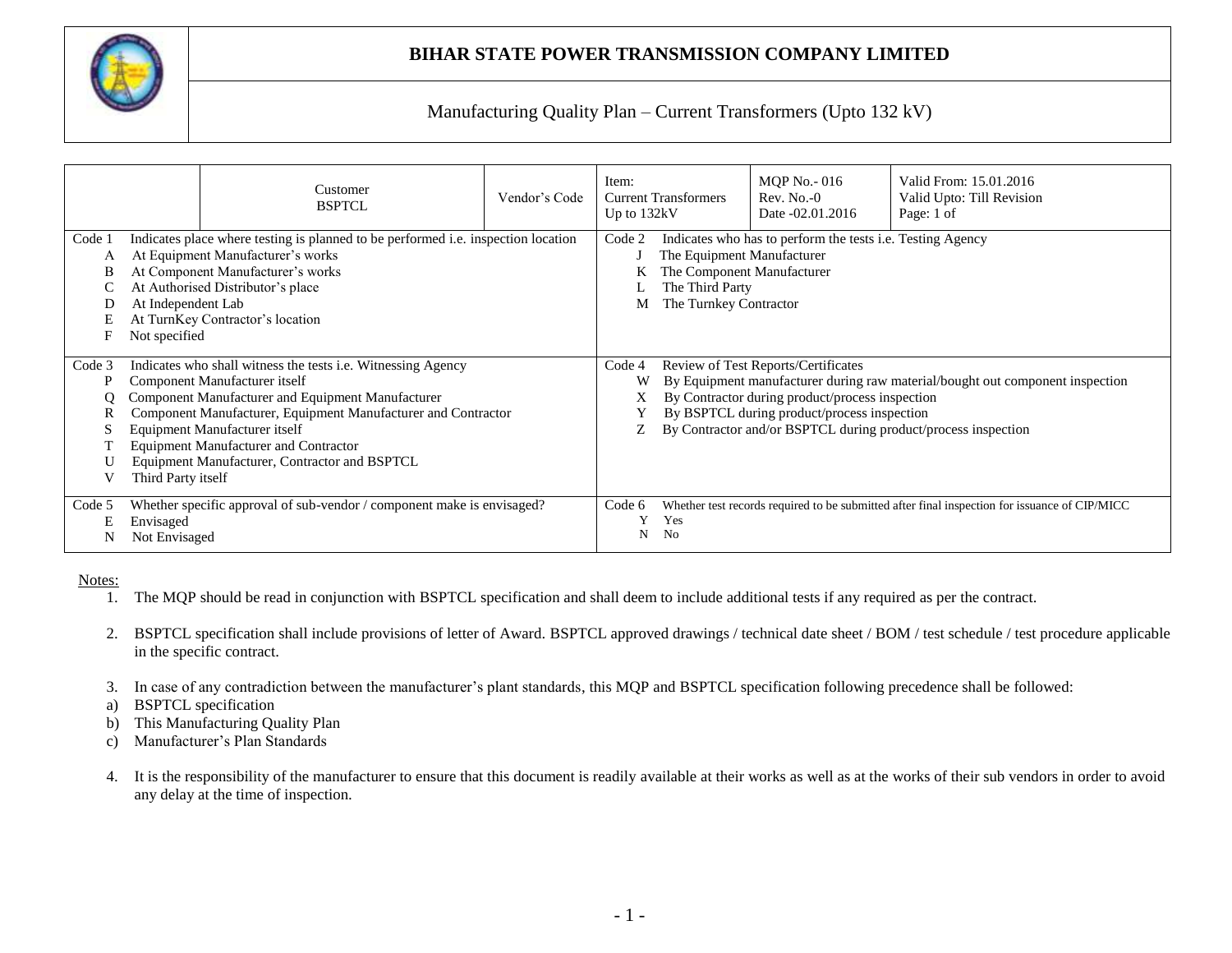

Manufacturing Quality Plan – Current Transformers (Upto 132 kV)

|                            |                                     | Customer<br><b>BSPTCL</b>                                                                                                                                                                                                                                                                                                                                    | Vendor's Code | Item:<br>Up to 132kV | <b>Current Transformers</b>                                                                           | <b>MQP</b> No. - 016<br>$Rev. No. -0$<br>Date -02.01.2016                                                                                    | Valid From: 15.01.2016<br>Valid Upto: Till Revision<br>Page: 1 of                                                                              |  |  |  |  |  |  |
|----------------------------|-------------------------------------|--------------------------------------------------------------------------------------------------------------------------------------------------------------------------------------------------------------------------------------------------------------------------------------------------------------------------------------------------------------|---------------|----------------------|-------------------------------------------------------------------------------------------------------|----------------------------------------------------------------------------------------------------------------------------------------------|------------------------------------------------------------------------------------------------------------------------------------------------|--|--|--|--|--|--|
| Code 1<br>A<br>В<br>E<br>F | At Independent Lab<br>Not specified | Indicates place where testing is planned to be performed i.e. inspection location<br>At Equipment Manufacturer's works<br>At Component Manufacturer's works<br>At Authorised Distributor's place<br>At TurnKey Contractor's location                                                                                                                         |               | Code 2               | The Equipment Manufacturer<br>The Component Manufacturer<br>The Third Party<br>The Turnkey Contractor | Indicates who has to perform the tests <i>i.e.</i> Testing Agency                                                                            |                                                                                                                                                |  |  |  |  |  |  |
| Code 3<br>P                | Third Party itself                  | Indicates who shall witness the tests <i>i.e.</i> Witnessing Agency<br>Component Manufacturer itself<br>Component Manufacturer and Equipment Manufacturer<br>Component Manufacturer, Equipment Manufacturer and Contractor<br>Equipment Manufacturer itself<br><b>Equipment Manufacturer and Contractor</b><br>Equipment Manufacturer, Contractor and BSPTCL |               | Code 4<br>W<br>X.    |                                                                                                       | <b>Review of Test Reports/Certificates</b><br>By Contractor during product/process inspection<br>By BSPTCL during product/process inspection | By Equipment manufacturer during raw material/bought out component inspection<br>By Contractor and/or BSPTCL during product/process inspection |  |  |  |  |  |  |
| Code 5<br>Е<br>N           | Envisaged<br>Not Envisaged          | Whether specific approval of sub-vendor / component make is envisaged?                                                                                                                                                                                                                                                                                       |               | Code 6<br>N          | Yes<br>No                                                                                             |                                                                                                                                              | Whether test records required to be submitted after final inspection for issuance of CIP/MICC                                                  |  |  |  |  |  |  |

Notes:

1. The MQP should be read in conjunction with BSPTCL specification and shall deem to include additional tests if any required as per the contract.

- 2. BSPTCL specification shall include provisions of letter of Award. BSPTCL approved drawings / technical date sheet / BOM / test schedule / test procedure applicable in the specific contract.
- 3. In case of any contradiction between the manufacturer's plant standards, this MQP and BSPTCL specification following precedence shall be followed:
- a) BSPTCL specification
- b) This Manufacturing Quality Plan
- c) Manufacturer's Plan Standards
- 4. It is the responsibility of the manufacturer to ensure that this document is readily available at their works as well as at the works of their sub vendors in order to avoid any delay at the time of inspection.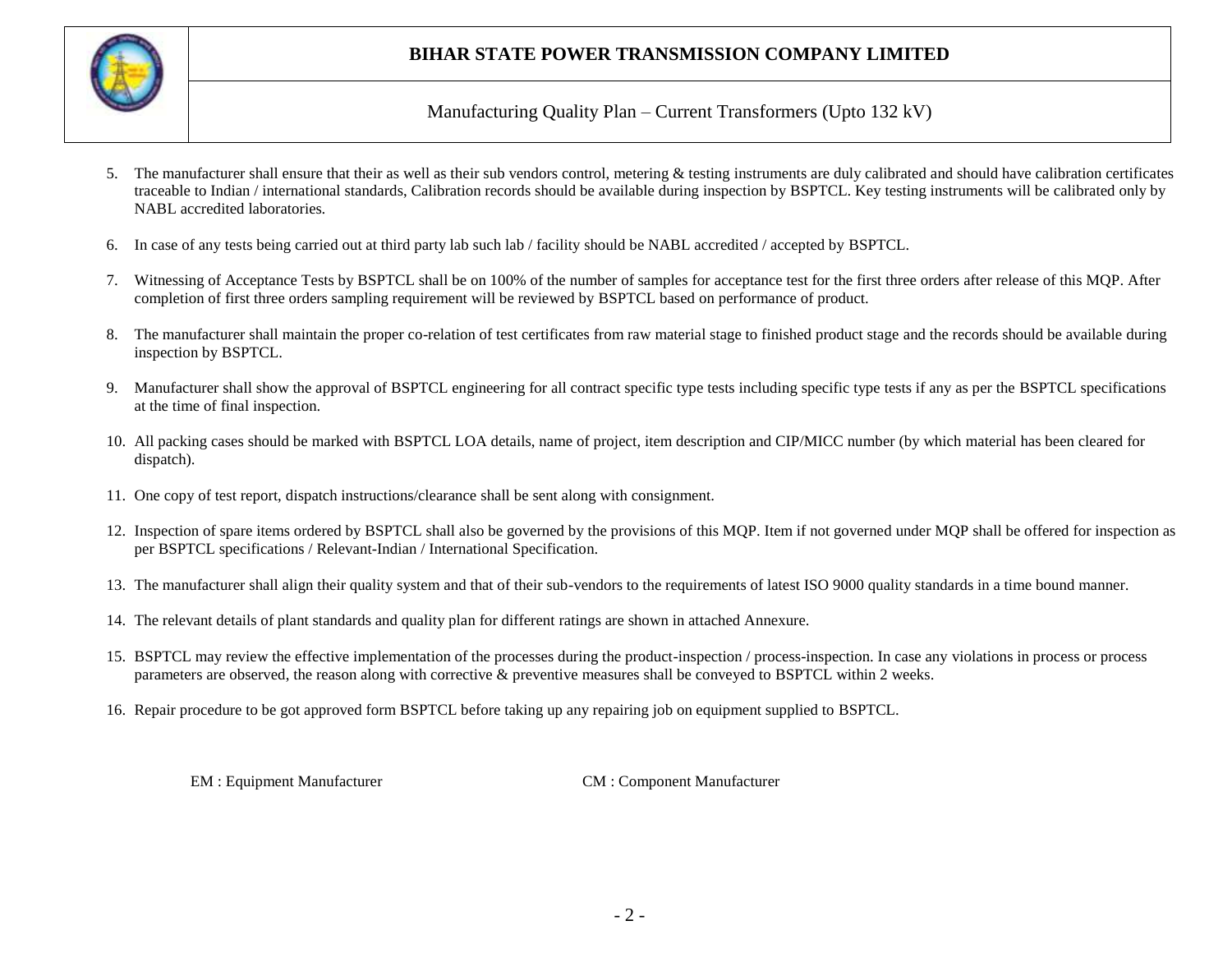

Manufacturing Quality Plan – Current Transformers (Upto 132 kV)

- 5. The manufacturer shall ensure that their as well as their sub vendors control, metering & testing instruments are duly calibrated and should have calibration certificates traceable to Indian / international standards, Calibration records should be available during inspection by BSPTCL. Key testing instruments will be calibrated only by NABL accredited laboratories.
- 6. In case of any tests being carried out at third party lab such lab / facility should be NABL accredited / accepted by BSPTCL.
- 7. Witnessing of Acceptance Tests by BSPTCL shall be on 100% of the number of samples for acceptance test for the first three orders after release of this MQP. After completion of first three orders sampling requirement will be reviewed by BSPTCL based on performance of product.
- 8. The manufacturer shall maintain the proper co-relation of test certificates from raw material stage to finished product stage and the records should be available during inspection by BSPTCL.
- 9. Manufacturer shall show the approval of BSPTCL engineering for all contract specific type tests including specific type tests if any as per the BSPTCL specifications at the time of final inspection.
- 10. All packing cases should be marked with BSPTCL LOA details, name of project, item description and CIP/MICC number (by which material has been cleared for dispatch).
- 11. One copy of test report, dispatch instructions/clearance shall be sent along with consignment.
- 12. Inspection of spare items ordered by BSPTCL shall also be governed by the provisions of this MQP. Item if not governed under MQP shall be offered for inspection as per BSPTCL specifications / Relevant-Indian / International Specification.
- 13. The manufacturer shall align their quality system and that of their sub-vendors to the requirements of latest ISO 9000 quality standards in a time bound manner.
- 14. The relevant details of plant standards and quality plan for different ratings are shown in attached Annexure.
- 15. BSPTCL may review the effective implementation of the processes during the product-inspection / process-inspection. In case any violations in process or process parameters are observed, the reason along with corrective & preventive measures shall be conveyed to BSPTCL within 2 weeks.
- 16. Repair procedure to be got approved form BSPTCL before taking up any repairing job on equipment supplied to BSPTCL.

EM : Equipment Manufacturer CM : Component Manufacturer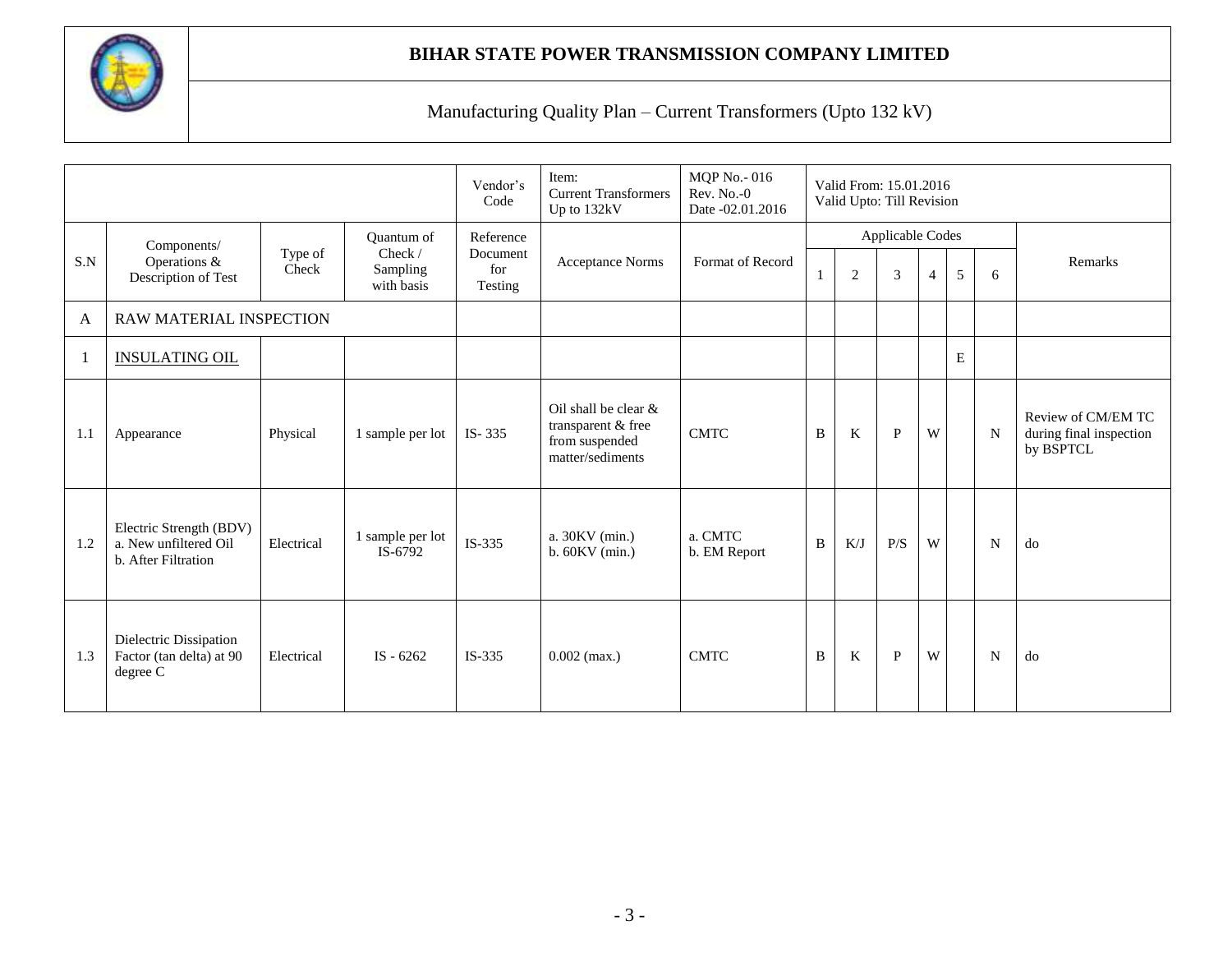

|     |                                                                         |                  |                                   | Vendor's<br>Code           | Item:<br><b>Current Transformers</b><br>Up to 132kV                              | <b>MQP</b> No. - 016<br>$Rev. No. -0$<br>Date -02.01.2016 |              | Valid From: 15.01.2016<br>Valid Upto: Till Revision |                  |                |   |   |                                                            |
|-----|-------------------------------------------------------------------------|------------------|-----------------------------------|----------------------------|----------------------------------------------------------------------------------|-----------------------------------------------------------|--------------|-----------------------------------------------------|------------------|----------------|---|---|------------------------------------------------------------|
|     | Components/                                                             |                  | <b>Ouantum</b> of                 | Reference                  |                                                                                  |                                                           |              |                                                     | Applicable Codes |                |   |   |                                                            |
| S.N | Operations &<br>Description of Test                                     | Type of<br>Check | Check /<br>Sampling<br>with basis | Document<br>for<br>Testing | <b>Acceptance Norms</b>                                                          | Format of Record                                          |              | $\overline{2}$                                      | 3                | $\overline{4}$ | 5 | 6 | Remarks                                                    |
| A   | RAW MATERIAL INSPECTION                                                 |                  |                                   |                            |                                                                                  |                                                           |              |                                                     |                  |                |   |   |                                                            |
| 1   | <b>INSULATING OIL</b>                                                   |                  |                                   |                            |                                                                                  |                                                           |              |                                                     |                  |                | E |   |                                                            |
| 1.1 | Appearance                                                              | Physical         | 1 sample per lot                  | $IS - 335$                 | Oil shall be clear &<br>transparent & free<br>from suspended<br>matter/sediments | <b>CMTC</b>                                               | B            | $\bf K$                                             | $\mathbf{P}$     | W              |   | N | Review of CM/EM TC<br>during final inspection<br>by BSPTCL |
| 1.2 | Electric Strength (BDV)<br>a. New unfiltered Oil<br>b. After Filtration | Electrical       | 1 sample per lot<br>IS-6792       | $IS-335$                   | a. 30KV (min.)<br>$b.60KV$ (min.)                                                | a. CMTC<br>b. EM Report                                   | B            | K/J                                                 | P/S              | W              |   | N | do                                                         |
| 1.3 | Dielectric Dissipation<br>Factor (tan delta) at 90<br>degree C          | Electrical       | IS $-6262$                        | $IS-335$                   | $0.002$ (max.)                                                                   | <b>CMTC</b>                                               | $\, {\bf B}$ | $\rm K$                                             | $\, {\bf P}$     | W              |   | N | do                                                         |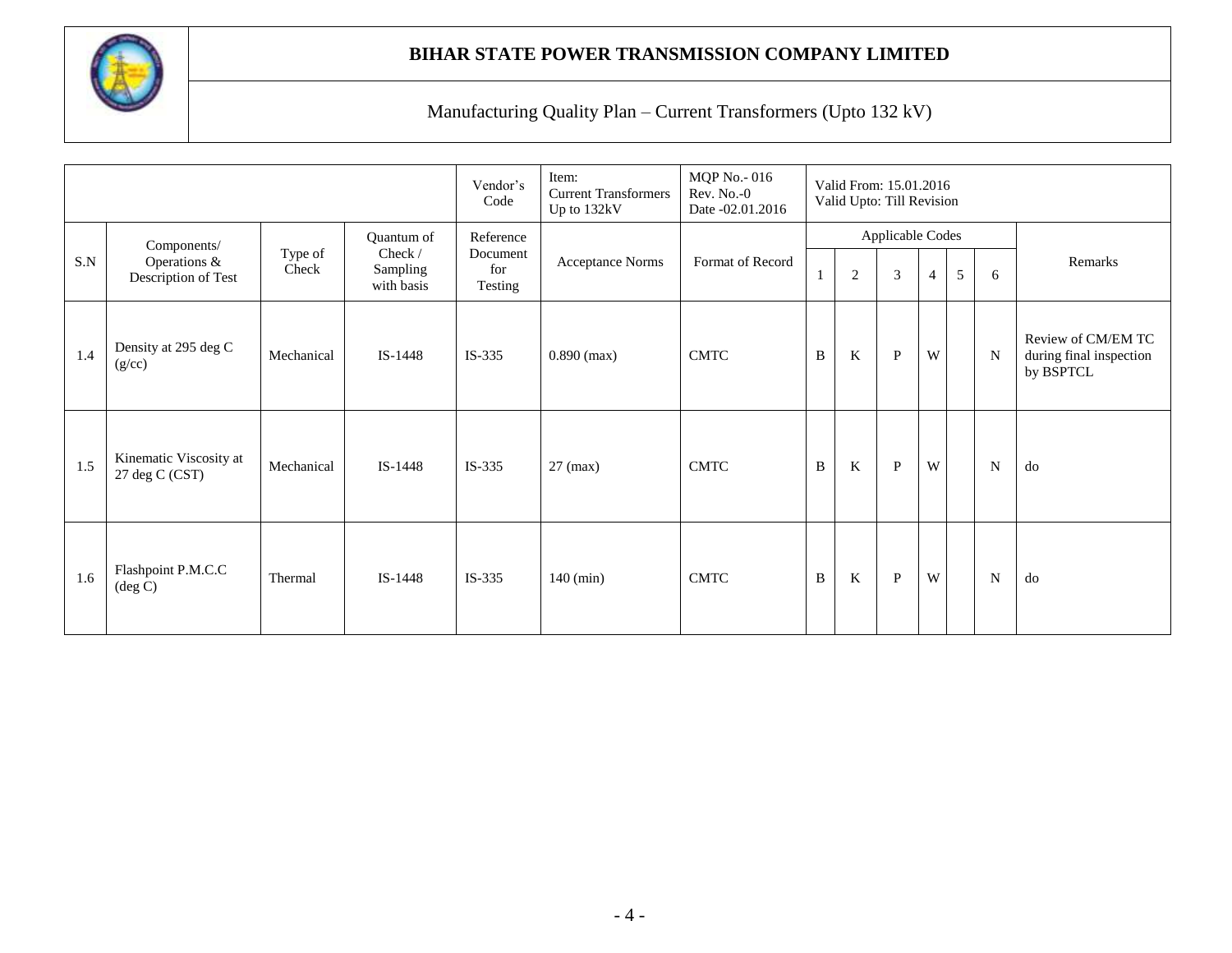

|     |                                                    |                  |                                                 | Vendor's<br>Code                        | Item:<br><b>Current Transformers</b><br>Up to 132kV | <b>MQP</b> No. - 016<br>Rev. No.-0<br>Date -02.01.2016 |              | Valid From: 15.01.2016<br>Valid Upto: Till Revision |                                    |                |   |   |                                                            |
|-----|----------------------------------------------------|------------------|-------------------------------------------------|-----------------------------------------|-----------------------------------------------------|--------------------------------------------------------|--------------|-----------------------------------------------------|------------------------------------|----------------|---|---|------------------------------------------------------------|
| S.N | Components/<br>Operations &<br>Description of Test | Type of<br>Check | Quantum of<br>Check /<br>Sampling<br>with basis | Reference<br>Document<br>for<br>Testing | <b>Acceptance Norms</b>                             | Format of Record                                       |              | $\overline{2}$                                      | Applicable Codes<br>$\mathfrak{Z}$ | $\overline{4}$ | 5 | 6 | Remarks                                                    |
| 1.4 | Density at 295 deg C<br>(g/cc)                     | Mechanical       | IS-1448                                         | $IS-335$                                | $0.890$ (max)                                       | <b>CMTC</b>                                            | B            | K                                                   | $\mathbf{P}$                       | W              |   | N | Review of CM/EM TC<br>during final inspection<br>by BSPTCL |
| 1.5 | Kinematic Viscosity at<br>27 deg C (CST)           | Mechanical       | IS-1448                                         | $IS-335$                                | $27$ (max)                                          | <b>CMTC</b>                                            | $\, {\bf B}$ | $\rm K$                                             | $\mathbf{P}$                       | W              |   | N | do                                                         |
| 1.6 | Flashpoint P.M.C.C<br>$(\text{deg } C)$            | Thermal          | $IS-1448$                                       | $IS-335$                                | $140$ (min)                                         | <b>CMTC</b>                                            | B            | $\rm K$                                             | $\mathbf{P}$                       | W              |   | N | do                                                         |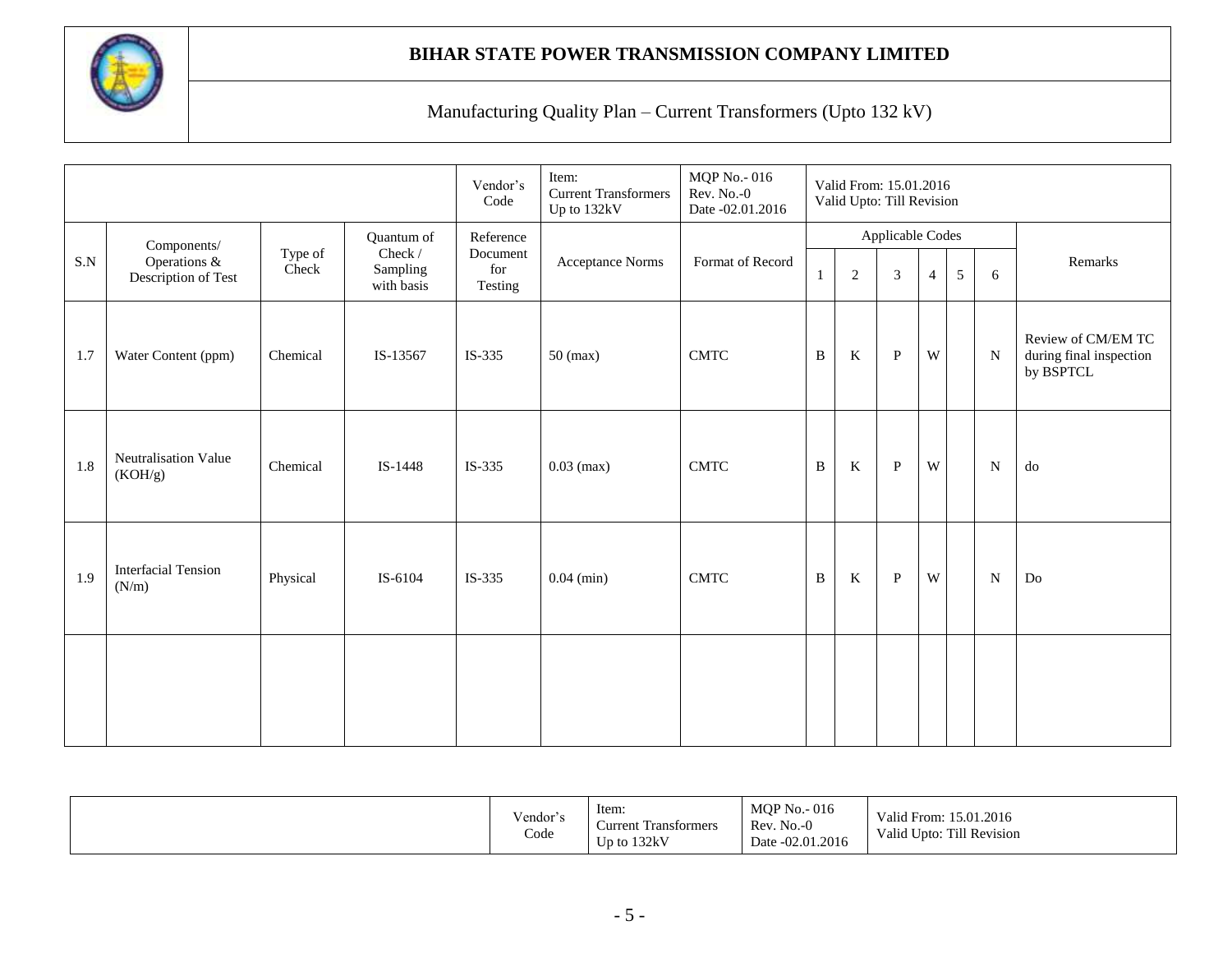

|           |                                     |                  |                                   | Vendor's<br>Code           | Item:<br><b>Current Transformers</b><br>Up to 132kV | MQP No.-016<br>Rev. No.-0<br>Date -02.01.2016 |              | Valid From: 15.01.2016<br>Valid Upto: Till Revision |                  |                |   |             |                                                            |
|-----------|-------------------------------------|------------------|-----------------------------------|----------------------------|-----------------------------------------------------|-----------------------------------------------|--------------|-----------------------------------------------------|------------------|----------------|---|-------------|------------------------------------------------------------|
|           | Components/                         |                  | Quantum of                        | Reference                  |                                                     |                                               |              |                                                     | Applicable Codes |                |   |             |                                                            |
| $\rm S.N$ | Operations &<br>Description of Test | Type of<br>Check | Check /<br>Sampling<br>with basis | Document<br>for<br>Testing | <b>Acceptance Norms</b>                             | Format of Record                              |              | $\overline{2}$                                      | $\mathfrak{Z}$   | $\overline{4}$ | 5 | 6           | Remarks                                                    |
| 1.7       | Water Content (ppm)                 | Chemical         | IS-13567                          | IS-335                     | $50$ (max)                                          | <b>CMTC</b>                                   | B            | $\rm K$                                             | $\, {\bf P}$     | W              |   | N           | Review of CM/EM TC<br>during final inspection<br>by BSPTCL |
| 1.8       | Neutralisation Value<br>(KOH/g)     | Chemical         | IS-1448                           | IS-335                     | $0.03$ (max)                                        | <b>CMTC</b>                                   | $\, {\bf B}$ | $\bf K$                                             | $\, {\bf P}$     | W              |   | $\mathbf N$ | ${\rm do}$                                                 |
| 1.9       | <b>Interfacial Tension</b><br>(N/m) | Physical         | IS-6104                           | IS-335                     | $0.04$ (min)                                        | <b>CMTC</b>                                   | $\, {\bf B}$ | $\bf K$                                             | $\mathbf{P}$     | W              |   | N           | $\operatorname{Do}$                                        |
|           |                                     |                  |                                   |                            |                                                     |                                               |              |                                                     |                  |                |   |             |                                                            |

|  | Vendor's<br>$\sim$<br>Code | Item:<br>$\sim$<br>∽<br>. Transformers<br>∠urrent<br>Up to $132kV$ | <b>MOP No. - 016</b><br>$No.-0$<br>Rev.<br>Date -02.01.2016 | 15.01.2016<br>Valid E<br>'alıd From:<br>Till Revision<br>Valid Upto: |
|--|----------------------------|--------------------------------------------------------------------|-------------------------------------------------------------|----------------------------------------------------------------------|
|--|----------------------------|--------------------------------------------------------------------|-------------------------------------------------------------|----------------------------------------------------------------------|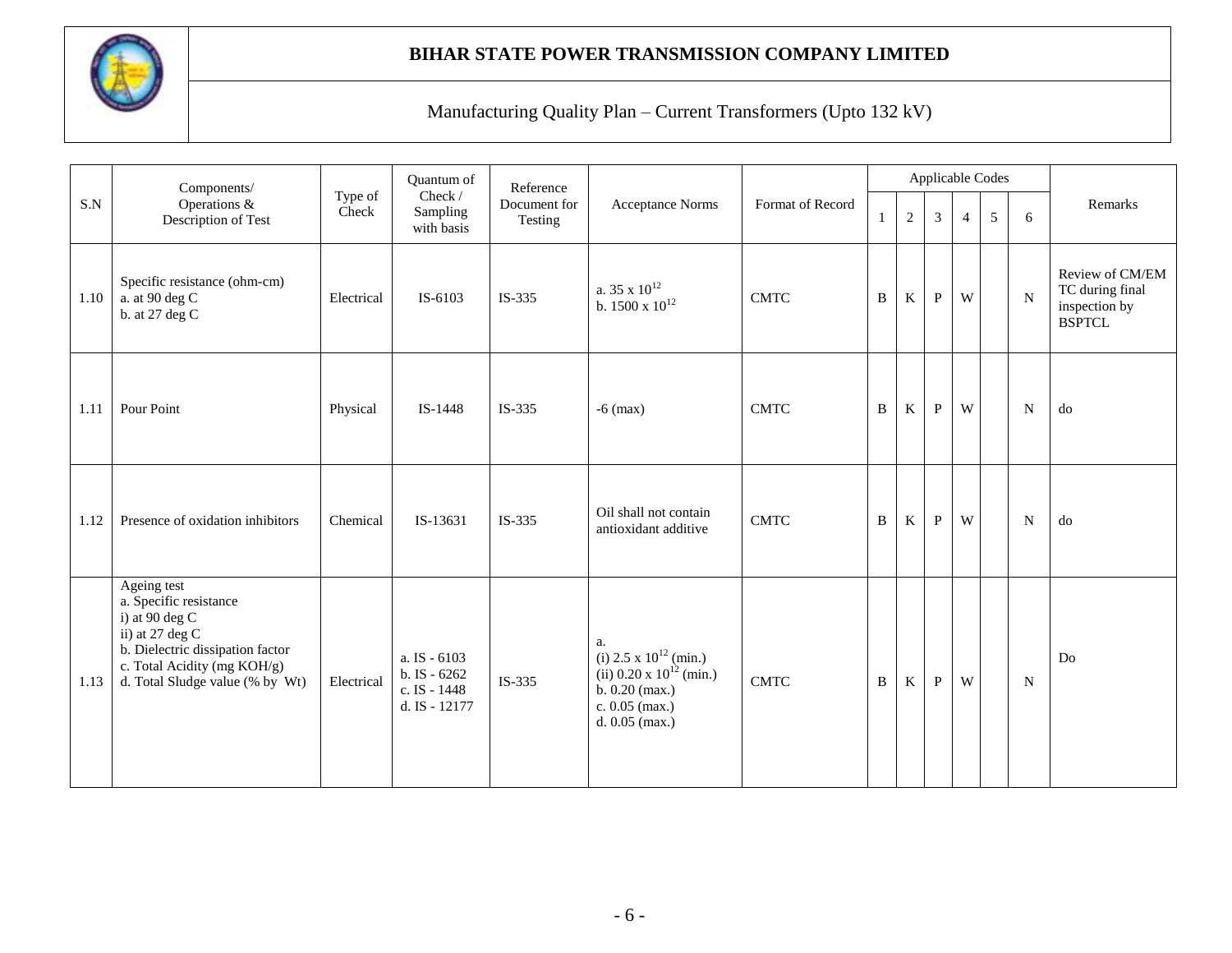

|      | Components/                                                                                                                                                                        |                  | Quantum of                                                    | Reference               |                                                                                                                                        |                  |   |            |              |                | Applicable Codes |             |                                                                      |
|------|------------------------------------------------------------------------------------------------------------------------------------------------------------------------------------|------------------|---------------------------------------------------------------|-------------------------|----------------------------------------------------------------------------------------------------------------------------------------|------------------|---|------------|--------------|----------------|------------------|-------------|----------------------------------------------------------------------|
| S.N  | Operations &<br>Description of Test                                                                                                                                                | Type of<br>Check | Check /<br>Sampling<br>with basis                             | Document for<br>Testing | <b>Acceptance Norms</b>                                                                                                                | Format of Record |   | $\sqrt{2}$ | 3            | $\overline{4}$ | 5                | 6           | Remarks                                                              |
| 1.10 | Specific resistance (ohm-cm)<br>a. at 90 deg C<br>b. at 27 deg C                                                                                                                   | Electrical       | IS-6103                                                       | IS-335                  | a. 35 x $10^{12}$<br>b. 1500 x $10^{12}\,$                                                                                             | <b>CMTC</b>      | B | $\rm K$    | $\mathbf{P}$ | W              |                  | $\mathbf N$ | Review of CM/EM<br>TC during final<br>inspection by<br><b>BSPTCL</b> |
| 1.11 | Pour Point                                                                                                                                                                         | Physical         | IS-1448                                                       | $IS-335$                | $-6$ (max)                                                                                                                             | <b>CMTC</b>      | B | K          | P            | W              |                  | N           | do                                                                   |
| 1.12 | Presence of oxidation inhibitors                                                                                                                                                   | Chemical         | IS-13631                                                      | IS-335                  | Oil shall not contain<br>antioxidant additive                                                                                          | <b>CMTC</b>      | B | K          | $\mathbf{P}$ | W              |                  | ${\bf N}$   | d <sub>o</sub>                                                       |
| 1.13 | Ageing test<br>a. Specific resistance<br>i) at $90$ deg C<br>ii) at 27 deg C<br>b. Dielectric dissipation factor<br>c. Total Acidity (mg KOH/g)<br>d. Total Sludge value (% by Wt) | Electrical       | a. IS - 6103<br>b. IS - 6262<br>c. IS - 1448<br>d. IS - 12177 | IS-335                  | a.<br>(i) $2.5 \times 10^{12}$ (min.)<br>(ii) $0.20 \times 10^{12}$ (min.)<br>$b. 0.20$ (max.)<br>c. $0.05$ (max.)<br>d. $0.05$ (max.) | <b>CMTC</b>      | B | K          | $\, {\bf P}$ | W              |                  | N           | Do                                                                   |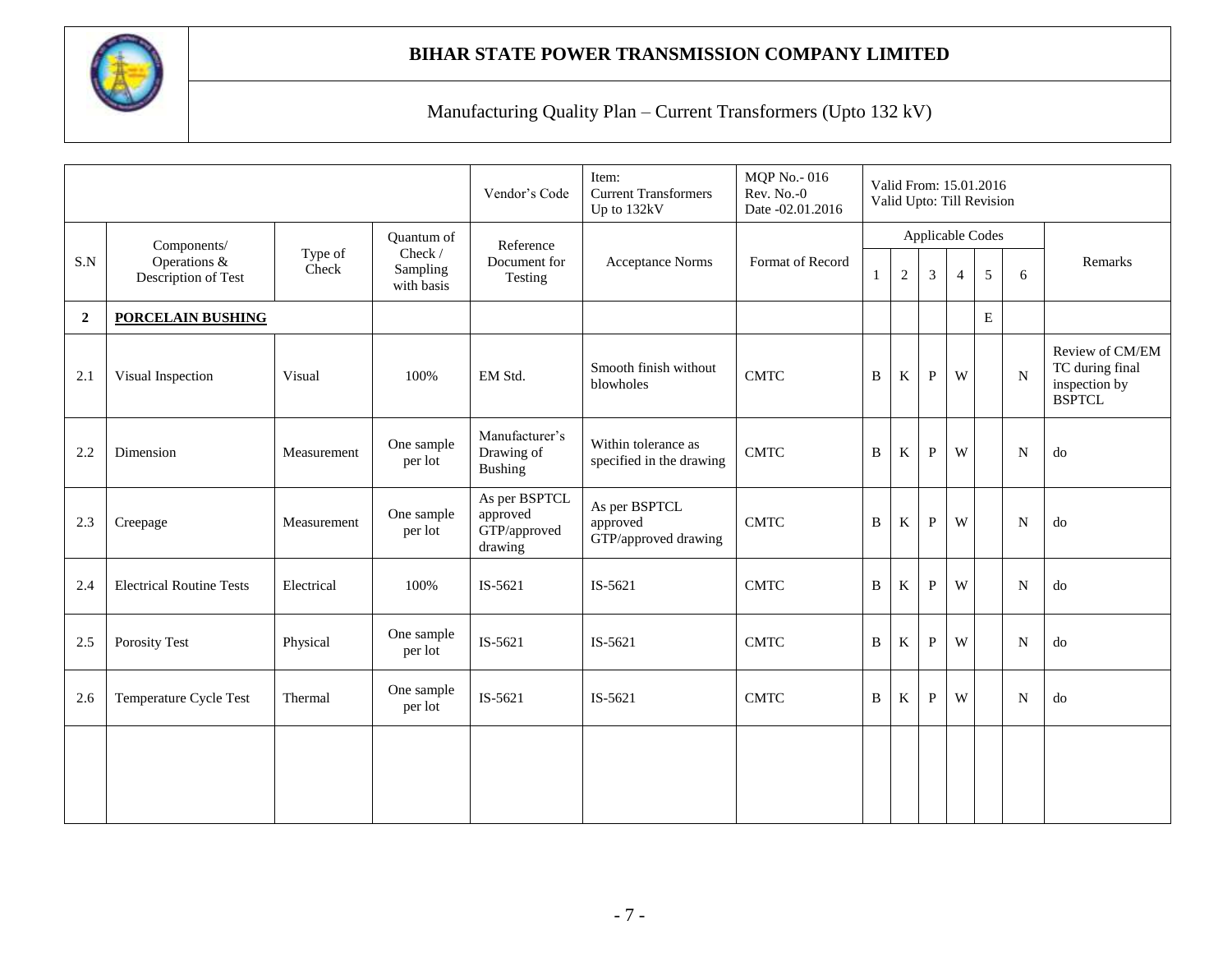

|                |                                 |                  |                                   | Vendor's Code                                        | Item:<br><b>Current Transformers</b><br>Up to 132kV | <b>MQP</b> No. - 016<br>Rev. No.-0<br>Date -02.01.2016 |   |                |              |                | Valid From: 15.01.2016<br>Valid Upto: Till Revision |             |                                                                      |
|----------------|---------------------------------|------------------|-----------------------------------|------------------------------------------------------|-----------------------------------------------------|--------------------------------------------------------|---|----------------|--------------|----------------|-----------------------------------------------------|-------------|----------------------------------------------------------------------|
| S.N            | Components/<br>Operations &     | Type of<br>Check | Quantum of<br>Check /<br>Sampling | Reference<br>Document for                            | <b>Acceptance Norms</b>                             | Format of Record                                       |   |                |              |                | Applicable Codes                                    |             | Remarks                                                              |
|                | Description of Test             |                  | with basis                        | Testing                                              |                                                     |                                                        | 1 | $\overline{2}$ | 3            | $\overline{4}$ | 5                                                   | 6           |                                                                      |
| $\overline{2}$ | <b>PORCELAIN BUSHING</b>        |                  |                                   |                                                      |                                                     |                                                        |   |                |              |                | ${\bf E}$                                           |             |                                                                      |
| 2.1            | Visual Inspection               | Visual           | 100%                              | EM Std.                                              | Smooth finish without<br>blowholes                  | <b>CMTC</b>                                            | B | K              | $\mathbf{P}$ | W              |                                                     | N           | Review of CM/EM<br>TC during final<br>inspection by<br><b>BSPTCL</b> |
| 2.2            | Dimension                       | Measurement      | One sample<br>per lot             | Manufacturer's<br>Drawing of<br><b>Bushing</b>       | Within tolerance as<br>specified in the drawing     | <b>CMTC</b>                                            | B | K              | P            | W              |                                                     | $\mathbf N$ | do                                                                   |
| 2.3            | Creepage                        | Measurement      | One sample<br>per lot             | As per BSPTCL<br>approved<br>GTP/approved<br>drawing | As per BSPTCL<br>approved<br>GTP/approved drawing   | <b>CMTC</b>                                            | B | K              | $\mathbf{P}$ | W              |                                                     | $\mathbf N$ | do                                                                   |
| 2.4            | <b>Electrical Routine Tests</b> | Electrical       | 100%                              | IS-5621                                              | IS-5621                                             | <b>CMTC</b>                                            | B | K              | $\mathbf{P}$ | W              |                                                     | N           | do                                                                   |
| 2.5            | <b>Porosity Test</b>            | Physical         | One sample<br>per lot             | IS-5621                                              | IS-5621                                             | <b>CMTC</b>                                            | B | K              | P            | W              |                                                     | N           | do                                                                   |
| 2.6            | Temperature Cycle Test          | Thermal          | One sample<br>per lot             | IS-5621                                              | IS-5621                                             | <b>CMTC</b>                                            | B | K              | P            | W              |                                                     | N           | do                                                                   |
|                |                                 |                  |                                   |                                                      |                                                     |                                                        |   |                |              |                |                                                     |             |                                                                      |
|                |                                 |                  |                                   |                                                      |                                                     |                                                        |   |                |              |                |                                                     |             |                                                                      |
|                |                                 |                  |                                   |                                                      |                                                     |                                                        |   |                |              |                |                                                     |             |                                                                      |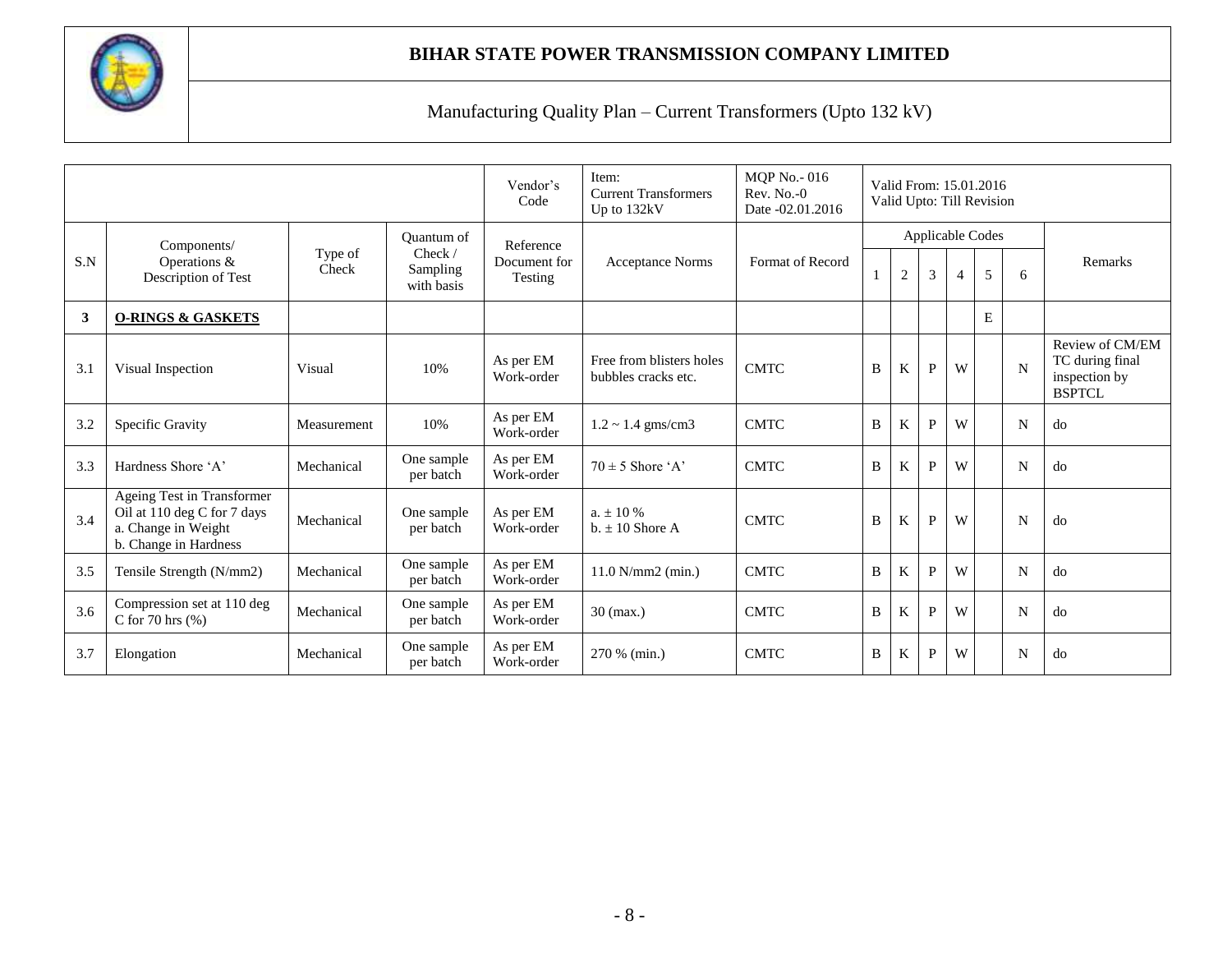

|     |                                                                                                           |                  |                                   | Vendor's<br>Code        | Item:<br><b>Current Transformers</b><br>Up to 132kV | <b>MQP</b> No. - 016<br>$Rev. No. -0$<br>Date -02.01.2016 |   |            |                |   | Valid From: 15.01.2016<br>Valid Upto: Till Revision |   |                                                                      |
|-----|-----------------------------------------------------------------------------------------------------------|------------------|-----------------------------------|-------------------------|-----------------------------------------------------|-----------------------------------------------------------|---|------------|----------------|---|-----------------------------------------------------|---|----------------------------------------------------------------------|
|     | Components/                                                                                               |                  | <b>Ouantum of</b>                 | Reference               |                                                     |                                                           |   |            |                |   | Applicable Codes                                    |   |                                                                      |
| S.N | Operations &<br>Description of Test                                                                       | Type of<br>Check | Check /<br>Sampling<br>with basis | Document for<br>Testing | <b>Acceptance Norms</b>                             | Format of Record                                          |   | $\sqrt{2}$ | $\mathfrak{Z}$ | 4 | 5                                                   | 6 | Remarks                                                              |
| 3   | <b>O-RINGS &amp; GASKETS</b>                                                                              |                  |                                   |                         |                                                     |                                                           |   |            |                |   | E                                                   |   |                                                                      |
| 3.1 | Visual Inspection                                                                                         | Visual           | 10%                               | As per EM<br>Work-order | Free from blisters holes<br>bubbles cracks etc.     | <b>CMTC</b>                                               | B | K          | $\mathbf{P}$   | W |                                                     | N | Review of CM/EM<br>TC during final<br>inspection by<br><b>BSPTCL</b> |
| 3.2 | Specific Gravity                                                                                          | Measurement      | 10%                               | As per EM<br>Work-order | $1.2 \sim 1.4$ gms/cm3                              | <b>CMTC</b>                                               | B | K          | P              | W |                                                     | N | do                                                                   |
| 3.3 | Hardness Shore 'A'                                                                                        | Mechanical       | One sample<br>per batch           | As per EM<br>Work-order | $70 \pm 5$ Shore 'A'                                | <b>CMTC</b>                                               | B | K          | $\mathbf{P}$   | W |                                                     | N | do                                                                   |
| 3.4 | Ageing Test in Transformer<br>Oil at 110 deg C for 7 days<br>a. Change in Weight<br>b. Change in Hardness | Mechanical       | One sample<br>per batch           | As per EM<br>Work-order | $a_{\rm t} \pm 10\%$<br>$b. \pm 10$ Shore A         | <b>CMTC</b>                                               | B | K          | $\mathbf{P}$   | W |                                                     | N | do                                                                   |
| 3.5 | Tensile Strength (N/mm2)                                                                                  | Mechanical       | One sample<br>per batch           | As per EM<br>Work-order | $11.0 N/mm2$ (min.)                                 | <b>CMTC</b>                                               | B | K          | P              | W |                                                     | N | do                                                                   |
| 3.6 | Compression set at 110 deg<br>C for $70$ hrs $(\% )$                                                      | Mechanical       | One sample<br>per batch           | As per EM<br>Work-order | $30 \text{ (max.)}$                                 | <b>CMTC</b>                                               | B | K          | $\mathbf{P}$   | W |                                                     | N | do                                                                   |
| 3.7 | Elongation                                                                                                | Mechanical       | One sample<br>per batch           | As per EM<br>Work-order | 270 % (min.)                                        | <b>CMTC</b>                                               | B | K          | P              | W |                                                     | N | do                                                                   |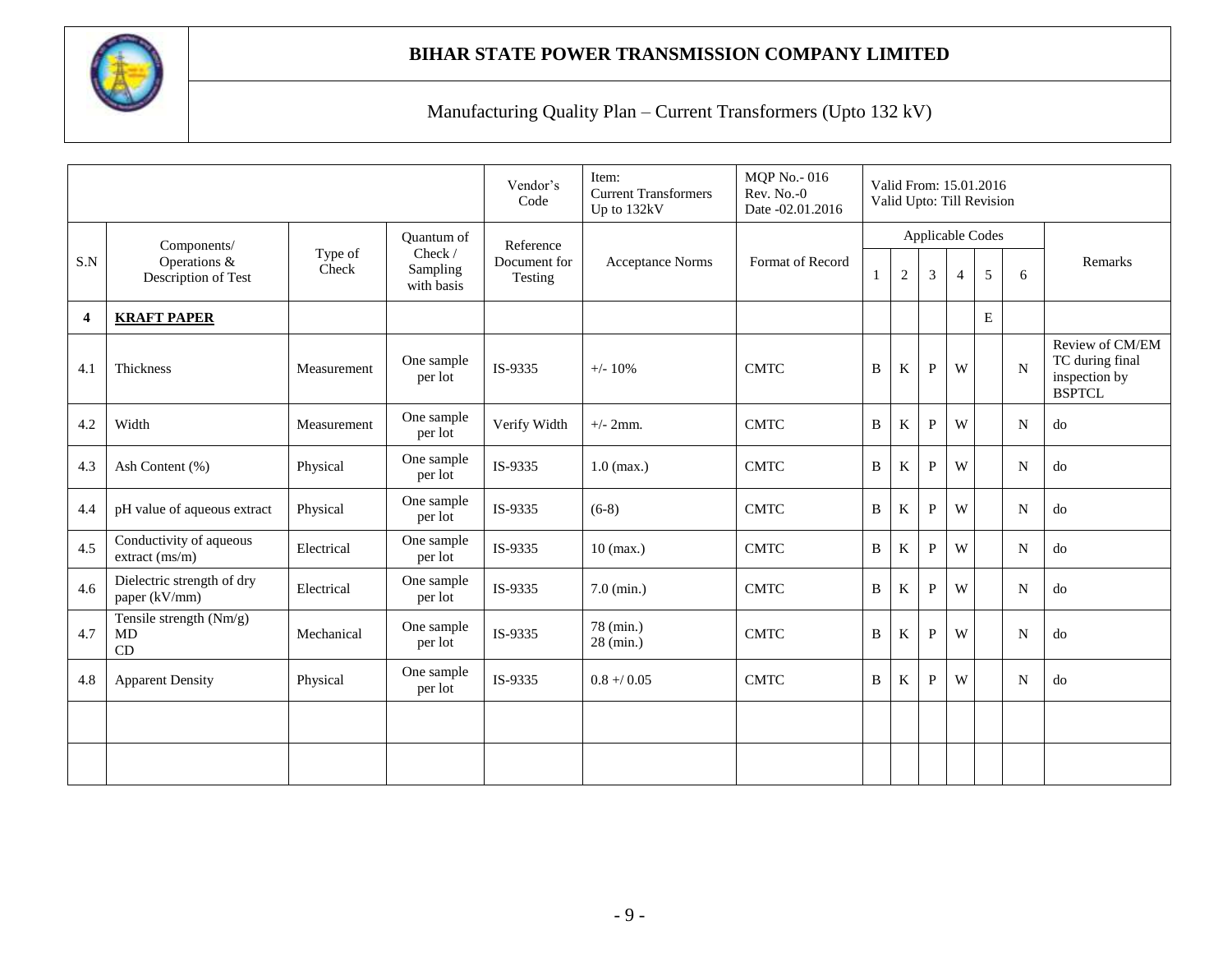

|                         |                                             |                  |                                   | Vendor's<br>Code        | Item:<br><b>Current Transformers</b><br>Up to 132kV | <b>MQP No.-016</b><br>Rev. No.-0<br>Date -02.01.2016 |   |              |              |                | Valid From: 15.01.2016<br>Valid Upto: Till Revision |             |                                                                      |
|-------------------------|---------------------------------------------|------------------|-----------------------------------|-------------------------|-----------------------------------------------------|------------------------------------------------------|---|--------------|--------------|----------------|-----------------------------------------------------|-------------|----------------------------------------------------------------------|
|                         | Components/                                 |                  | <b>Ouantum of</b>                 | Reference               |                                                     |                                                      |   |              |              |                | Applicable Codes                                    |             |                                                                      |
| S.N                     | Operations &<br>Description of Test         | Type of<br>Check | Check /<br>Sampling<br>with basis | Document for<br>Testing | <b>Acceptance Norms</b>                             | Format of Record                                     |   | $\mathbf{2}$ | 3            | $\overline{4}$ | 5                                                   | 6           | Remarks                                                              |
| $\overline{\mathbf{4}}$ | <b>KRAFT PAPER</b>                          |                  |                                   |                         |                                                     |                                                      |   |              |              |                | E                                                   |             |                                                                      |
| 4.1                     | Thickness                                   | Measurement      | One sample<br>per lot             | IS-9335                 | $+/- 10%$                                           | <b>CMTC</b>                                          | B | K            | $\mathbf{P}$ | W              |                                                     | $\mathbf N$ | Review of CM/EM<br>TC during final<br>inspection by<br><b>BSPTCL</b> |
| 4.2                     | Width                                       | Measurement      | One sample<br>per lot             | Verify Width            | $+/- 2$ mm.                                         | <b>CMTC</b>                                          | B | $\rm K$      | $\mathbf{P}$ | W              |                                                     | N           | do                                                                   |
| 4.3                     | Ash Content (%)                             | Physical         | One sample<br>per lot             | IS-9335                 | $1.0$ (max.)                                        | <b>CMTC</b>                                          | B | $\rm K$      | P            | W              |                                                     | N           | do                                                                   |
| 4.4                     | pH value of aqueous extract                 | Physical         | One sample<br>per lot             | IS-9335                 | $(6-8)$                                             | <b>CMTC</b>                                          | B | K            | $\mathbf{P}$ | W              |                                                     | N           | do                                                                   |
| 4.5                     | Conductivity of aqueous<br>extract (ms/m)   | Electrical       | One sample<br>per lot             | IS-9335                 | $10$ (max.)                                         | <b>CMTC</b>                                          | B | K            | P            | W              |                                                     | N           | do                                                                   |
| 4.6                     | Dielectric strength of dry<br>paper (kV/mm) | Electrical       | One sample<br>per lot             | IS-9335                 | $7.0$ (min.)                                        | <b>CMTC</b>                                          | B | K            | $\mathbf{P}$ | W              |                                                     | N           | do                                                                   |
| 4.7                     | Tensile strength (Nm/g)<br>MD<br>CD         | Mechanical       | One sample<br>per lot             | IS-9335                 | 78 (min.)<br>28 (min.)                              | <b>CMTC</b>                                          | B | $\rm K$      | $\mathbf{P}$ | W              |                                                     | N           | do                                                                   |
| 4.8                     | <b>Apparent Density</b>                     | Physical         | One sample<br>per lot             | IS-9335                 | $0.8 + 0.05$                                        | <b>CMTC</b>                                          | B | K            | P            | W              |                                                     | N           | do                                                                   |
|                         |                                             |                  |                                   |                         |                                                     |                                                      |   |              |              |                |                                                     |             |                                                                      |
|                         |                                             |                  |                                   |                         |                                                     |                                                      |   |              |              |                |                                                     |             |                                                                      |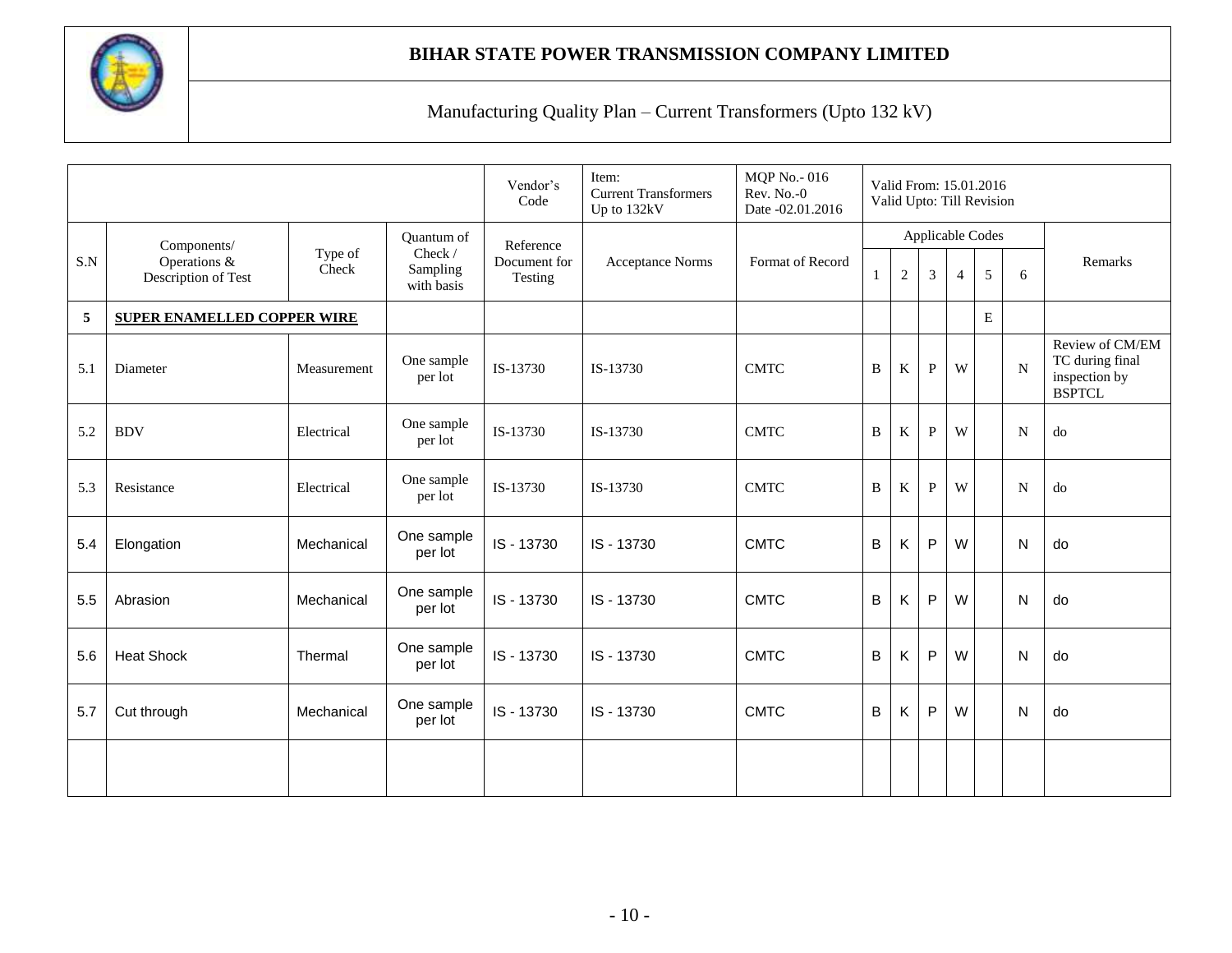

|     |                                     |                  |                                   | Vendor's<br>Code        | Item:<br><b>Current Transformers</b><br>Up to 132kV | <b>MQP No.-016</b><br>Rev. No.-0<br>Date -02.01.2016 |              |            |              |                | Valid From: 15.01.2016<br>Valid Upto: Till Revision |             |                                                                      |
|-----|-------------------------------------|------------------|-----------------------------------|-------------------------|-----------------------------------------------------|------------------------------------------------------|--------------|------------|--------------|----------------|-----------------------------------------------------|-------------|----------------------------------------------------------------------|
|     | Components/                         |                  | Quantum of                        | Reference               |                                                     |                                                      |              |            |              |                | Applicable Codes                                    |             |                                                                      |
| S.N | Operations &<br>Description of Test | Type of<br>Check | Check /<br>Sampling<br>with basis | Document for<br>Testing | <b>Acceptance Norms</b>                             | Format of Record                                     | $\mathbf{1}$ | $\sqrt{2}$ | 3            | $\overline{4}$ | 5                                                   | 6           | Remarks                                                              |
| 5   | <b>SUPER ENAMELLED COPPER WIRE</b>  |                  |                                   |                         |                                                     |                                                      |              |            |              |                | ${\bf E}$                                           |             |                                                                      |
| 5.1 | Diameter                            | Measurement      | One sample<br>per lot             | IS-13730                | IS-13730                                            | <b>CMTC</b>                                          | B            | $\rm K$    | P            | W              |                                                     | $\mathbf N$ | Review of CM/EM<br>TC during final<br>inspection by<br><b>BSPTCL</b> |
| 5.2 | <b>BDV</b>                          | Electrical       | One sample<br>per lot             | IS-13730                | IS-13730                                            | <b>CMTC</b>                                          | B            | $\rm K$    | $\mathbf{P}$ | W              |                                                     | N           | do                                                                   |
| 5.3 | Resistance                          | Electrical       | One sample<br>per lot             | IS-13730                | IS-13730                                            | <b>CMTC</b>                                          | B            | K          | P            | W              |                                                     | N           | do                                                                   |
| 5.4 | Elongation                          | Mechanical       | One sample<br>per lot             | IS - 13730              | IS - 13730                                          | <b>CMTC</b>                                          | B            | Κ          | $\mathsf{P}$ | W              |                                                     | N           | do                                                                   |
| 5.5 | Abrasion                            | Mechanical       | One sample<br>per lot             | IS - 13730              | IS - 13730                                          | <b>CMTC</b>                                          | $\sf B$      | Κ          | P            | W              |                                                     | N           | do                                                                   |
| 5.6 | <b>Heat Shock</b>                   | Thermal          | One sample<br>per lot             | IS - 13730              | IS - 13730                                          | <b>CMTC</b>                                          | B            | Κ          | P            | W              |                                                     | N           | do                                                                   |
| 5.7 | Cut through                         | Mechanical       | One sample<br>per lot             | IS - 13730              | IS - 13730                                          | <b>CMTC</b>                                          | $\sf B$      | Κ          | $\mathsf{P}$ | W              |                                                     | N           | do                                                                   |
|     |                                     |                  |                                   |                         |                                                     |                                                      |              |            |              |                |                                                     |             |                                                                      |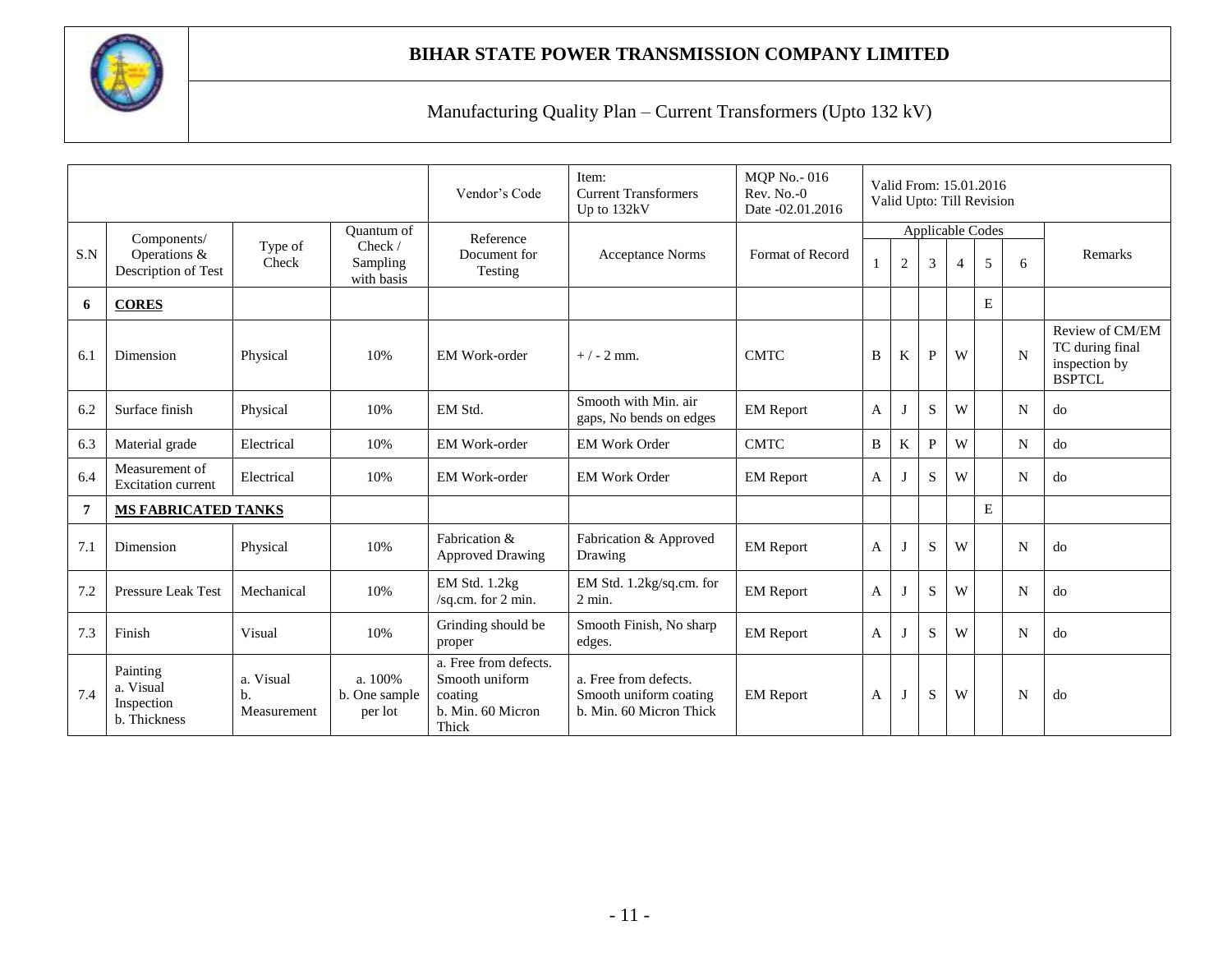

|     |                                                     |                                |                                     | Vendor's Code                                                                    | Item:<br><b>Current Transformers</b><br>Up to 132kV                        | <b>MQP</b> No. - 016<br>$Rev. No. -0$<br>Date -02.01.2016 |   |                |              |                | Valid From: 15.01.2016<br>Valid Upto: Till Revision |   |                                                                      |
|-----|-----------------------------------------------------|--------------------------------|-------------------------------------|----------------------------------------------------------------------------------|----------------------------------------------------------------------------|-----------------------------------------------------------|---|----------------|--------------|----------------|-----------------------------------------------------|---|----------------------------------------------------------------------|
|     | Components/                                         |                                | Quantum of                          | Reference                                                                        |                                                                            |                                                           |   |                |              |                | Applicable Codes                                    |   |                                                                      |
| S.N | Operations &<br>Description of Test                 | Type of<br>Check               | Check /<br>Sampling<br>with basis   | Document for<br>Testing                                                          | <b>Acceptance Norms</b>                                                    | Format of Record                                          |   | $\overline{2}$ | 3            | $\overline{4}$ | 5                                                   | 6 | Remarks                                                              |
| 6   | <b>CORES</b>                                        |                                |                                     |                                                                                  |                                                                            |                                                           |   |                |              |                | E                                                   |   |                                                                      |
| 6.1 | Dimension                                           | Physical                       | 10%                                 | EM Work-order                                                                    | $+/- 2$ mm.                                                                | <b>CMTC</b>                                               | B | K              | $\mathbf{P}$ | W              |                                                     | N | Review of CM/EM<br>TC during final<br>inspection by<br><b>BSPTCL</b> |
| 6.2 | Surface finish                                      | Physical                       | 10%                                 | EM Std.                                                                          | Smooth with Min. air<br>gaps, No bends on edges                            | <b>EM</b> Report                                          | A |                | S            | W              |                                                     | N | do                                                                   |
| 6.3 | Material grade                                      | Electrical                     | 10%                                 | <b>EM Work-order</b>                                                             | <b>EM Work Order</b>                                                       | <b>CMTC</b>                                               | B | K              | P            | W              |                                                     | N | do                                                                   |
| 6.4 | Measurement of<br><b>Excitation current</b>         | Electrical                     | 10%                                 | <b>EM Work-order</b>                                                             | <b>EM Work Order</b>                                                       | <b>EM</b> Report                                          | A |                | S            | W              |                                                     | N | do                                                                   |
| 7   | <b>MS FABRICATED TANKS</b>                          |                                |                                     |                                                                                  |                                                                            |                                                           |   |                |              |                | E                                                   |   |                                                                      |
| 7.1 | Dimension                                           | Physical                       | 10%                                 | Fabrication &<br><b>Approved Drawing</b>                                         | Fabrication & Approved<br>Drawing                                          | <b>EM</b> Report                                          | A |                | S            | W              |                                                     | N | do                                                                   |
| 7.2 | <b>Pressure Leak Test</b>                           | Mechanical                     | 10%                                 | EM Std. 1.2kg<br>/sq.cm. for 2 min.                                              | EM Std. 1.2kg/sq.cm. for<br>$2$ min.                                       | <b>EM</b> Report                                          | A |                | S            | W              |                                                     | N | do                                                                   |
| 7.3 | Finish                                              | Visual                         | 10%                                 | Grinding should be<br>proper                                                     | Smooth Finish, No sharp<br>edges.                                          | <b>EM</b> Report                                          | A |                | S            | W              |                                                     | N | do                                                                   |
| 7.4 | Painting<br>a. Visual<br>Inspection<br>b. Thickness | a. Visual<br>b.<br>Measurement | a. 100%<br>b. One sample<br>per lot | a. Free from defects.<br>Smooth uniform<br>coating<br>b. Min. 60 Micron<br>Thick | a. Free from defects.<br>Smooth uniform coating<br>b. Min. 60 Micron Thick | <b>EM</b> Report                                          | A |                | S            | W              |                                                     | N | do                                                                   |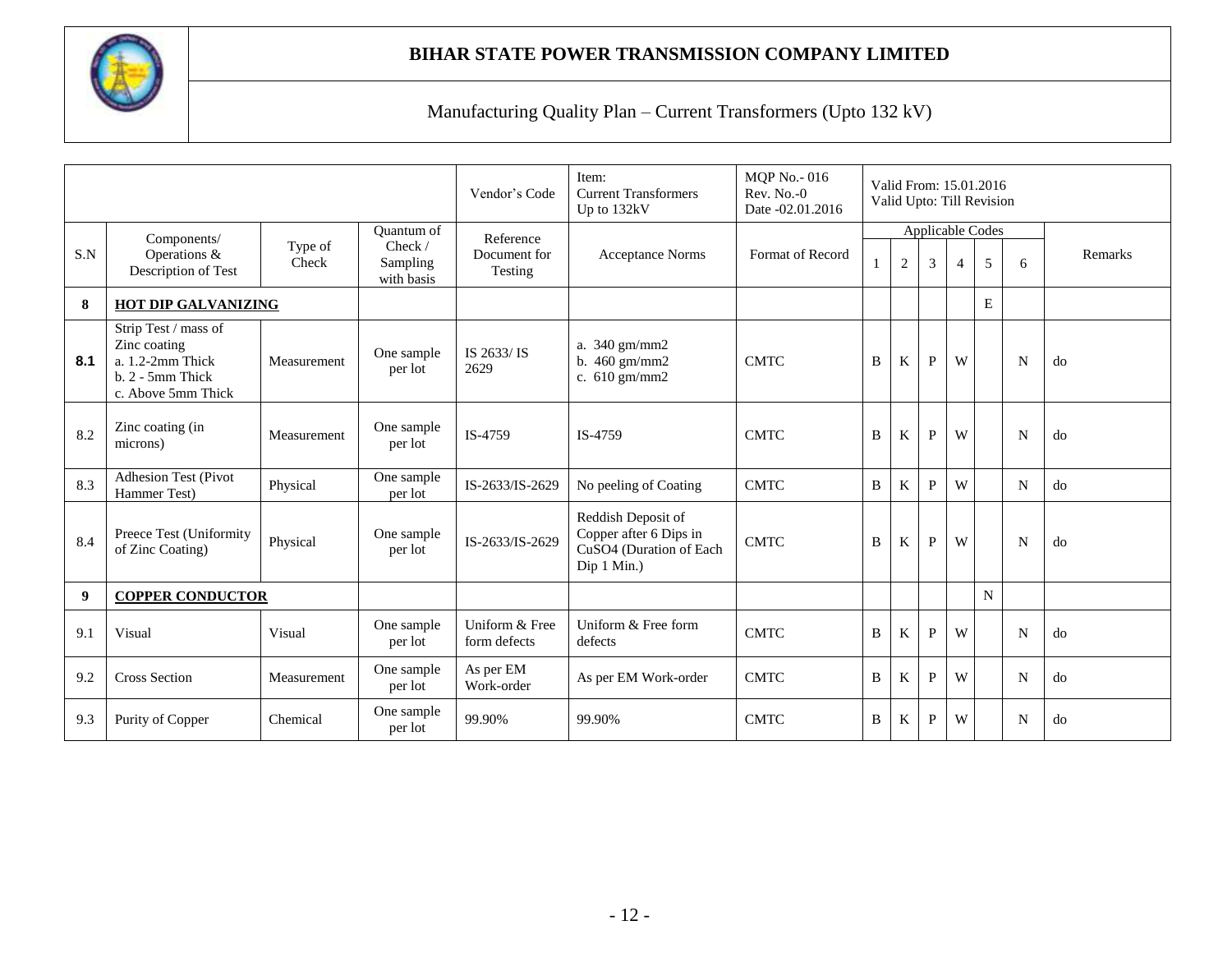

|     |                                                                                                         |             |                        | Vendor's Code                  | Item:<br><b>Current Transformers</b><br>Up to 132kV                                    | <b>MQP No. - 016</b><br>Rev. No.-0<br>Date -02.01.2016 |                |                |              | Valid From: 15.01.2016<br>Valid Upto: Till Revision |             |   |         |
|-----|---------------------------------------------------------------------------------------------------------|-------------|------------------------|--------------------------------|----------------------------------------------------------------------------------------|--------------------------------------------------------|----------------|----------------|--------------|-----------------------------------------------------|-------------|---|---------|
|     | Components/                                                                                             | Type of     | Quantum of<br>Check /  | Reference                      |                                                                                        |                                                        |                |                |              | Applicable Codes                                    |             |   |         |
| S.N | Operations &<br>Description of Test                                                                     | Check       | Sampling<br>with basis | Document for<br>Testing        | <b>Acceptance Norms</b>                                                                | Format of Record                                       | $\mathbf{1}$   | $\overline{2}$ | 3            | $\overline{4}$                                      | 5           | 6 | Remarks |
| 8   | HOT DIP GALVANIZING                                                                                     |             |                        |                                |                                                                                        |                                                        |                |                |              |                                                     | E           |   |         |
| 8.1 | Strip Test / mass of<br>Zinc coating<br>$a. 1.2-2mm$ Thick<br>$b. 2 - 5$ mm Thick<br>c. Above 5mm Thick | Measurement | One sample<br>per lot  | IS 2633/IS<br>2629             | a. 340 gm/mm2<br>b. 460 gm/mm2<br>c. 610 gm/mm2                                        | <b>CMTC</b>                                            | B              | K              | $\mathbf{P}$ | W                                                   |             | N | do      |
| 8.2 | Zinc coating (in<br>microns)                                                                            | Measurement | One sample<br>per lot  | IS-4759                        | IS-4759                                                                                | <b>CMTC</b>                                            | B              | $\rm K$        | P            | W                                                   |             | N | do      |
| 8.3 | <b>Adhesion Test (Pivot</b><br>Hammer Test)                                                             | Physical    | One sample<br>per lot  | IS-2633/IS-2629                | No peeling of Coating                                                                  | <b>CMTC</b>                                            | $\overline{B}$ | K              | P            | W                                                   |             | N | do      |
| 8.4 | Preece Test (Uniformity<br>of Zinc Coating)                                                             | Physical    | One sample<br>per lot  | IS-2633/IS-2629                | Reddish Deposit of<br>Copper after 6 Dips in<br>CuSO4 (Duration of Each<br>Dip 1 Min.) | <b>CMTC</b>                                            | B              | K              | P            | W                                                   |             | N | do      |
| 9   | <b>COPPER CONDUCTOR</b>                                                                                 |             |                        |                                |                                                                                        |                                                        |                |                |              |                                                     | $\mathbf N$ |   |         |
| 9.1 | Visual                                                                                                  | Visual      | One sample<br>per lot  | Uniform & Free<br>form defects | Uniform & Free form<br>defects                                                         | <b>CMTC</b>                                            | B              | K              | P            | W                                                   |             | N | do      |
| 9.2 | <b>Cross Section</b>                                                                                    | Measurement | One sample<br>per lot  | As per EM<br>Work-order        | As per EM Work-order                                                                   | <b>CMTC</b>                                            | B              | K              | P            | W                                                   |             | N | do      |
| 9.3 | Purity of Copper                                                                                        | Chemical    | One sample<br>per lot  | 99.90%                         | 99.90%                                                                                 | <b>CMTC</b>                                            | B              | K              | P            | W                                                   |             | N | do      |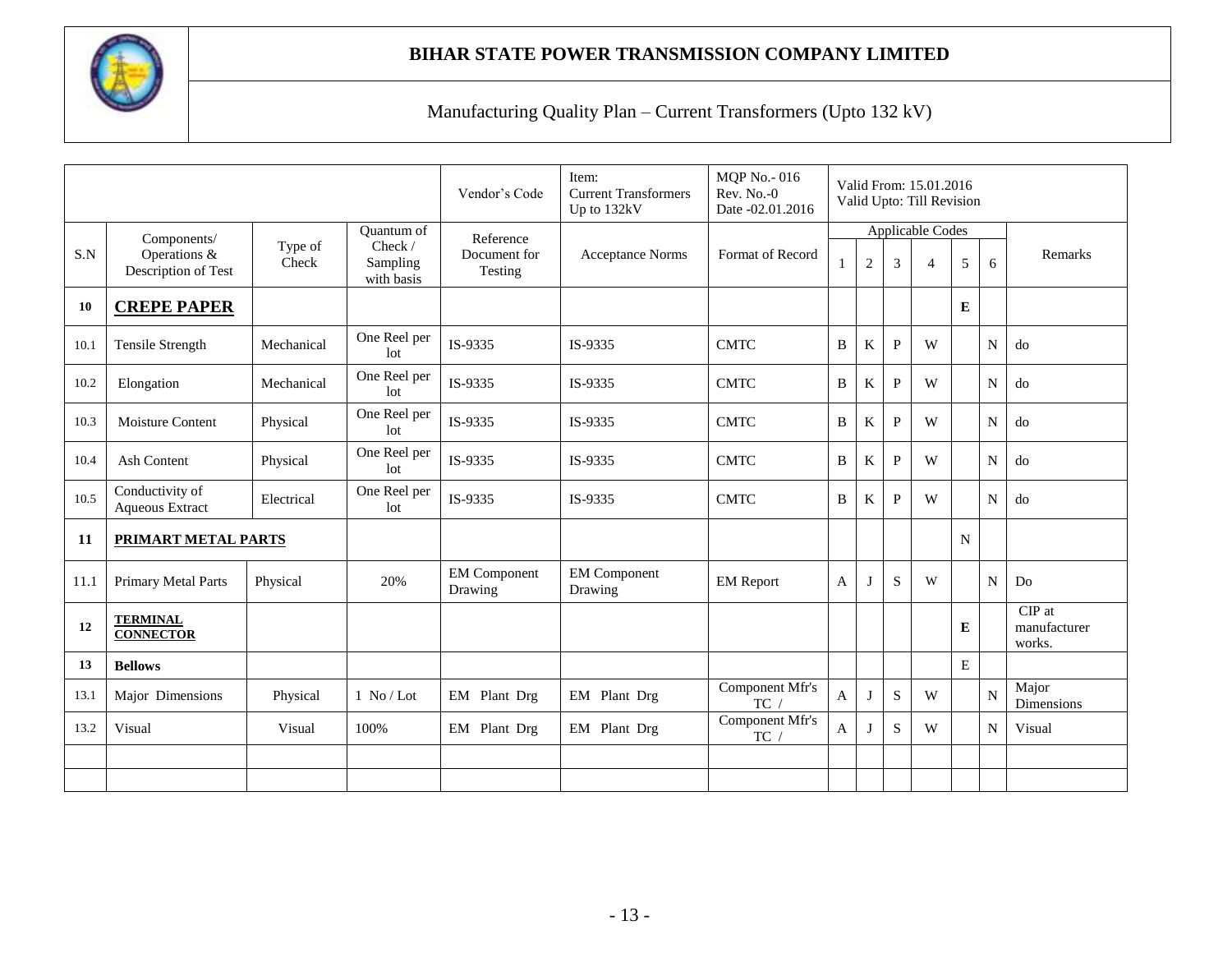

|           |                                                    |                  |                                                        | Vendor's Code                        | Item:<br><b>Current Transformers</b><br>Up to 132kV | <b>MQP No.-016</b><br>$Rev. No. -0$<br>Date -02.01.2016 |                                                  |   |              | Valid From: 15.01.2016<br>Valid Upto: Till Revision |    |                                    |                     |
|-----------|----------------------------------------------------|------------------|--------------------------------------------------------|--------------------------------------|-----------------------------------------------------|---------------------------------------------------------|--------------------------------------------------|---|--------------|-----------------------------------------------------|----|------------------------------------|---------------------|
| S.N       | Components/<br>Operations &<br>Description of Test | Type of<br>Check | <b>Ouantum of</b><br>Check /<br>Sampling<br>with basis | Reference<br>Document for<br>Testing | <b>Acceptance Norms</b>                             | Format of Record                                        | <b>Applicable Codes</b><br>$\boldsymbol{2}$<br>3 |   |              | $\overline{4}$                                      | 5  | 6                                  | Remarks             |
| <b>10</b> | <b>CREPE PAPER</b>                                 |                  |                                                        |                                      |                                                     |                                                         |                                                  |   |              |                                                     | E  |                                    |                     |
| 10.1      | Tensile Strength                                   | Mechanical       | One Reel per<br>1 <sub>ot</sub>                        | IS-9335                              | IS-9335                                             | <b>CMTC</b>                                             | B                                                | K | $\mathbf{P}$ | W                                                   |    | $\mathbf N$                        | do                  |
| 10.2      | Elongation                                         | Mechanical       | One Reel per<br>lot                                    | IS-9335                              | IS-9335                                             | <b>CMTC</b>                                             | B                                                | K | P            | W                                                   |    | $\mathbf N$                        | do                  |
| 10.3      | <b>Moisture Content</b>                            | Physical         | One Reel per<br>1 <sub>ot</sub>                        | IS-9335                              | IS-9335                                             | <b>CMTC</b>                                             | B                                                | K | P            | W                                                   |    | N                                  | do                  |
| 10.4      | <b>Ash Content</b>                                 | Physical         | One Reel per<br>1 <sub>ot</sub>                        | IS-9335                              | IS-9335                                             | <b>CMTC</b>                                             | B                                                | K | P<br>W<br>N  |                                                     | do |                                    |                     |
| 10.5      | Conductivity of<br>Aqueous Extract                 | Electrical       | One Reel per<br>1 <sub>ot</sub>                        | IS-9335                              | IS-9335                                             | <b>CMTC</b>                                             | B                                                | K | $\mathbf{P}$ | W                                                   |    | N                                  | do                  |
| 11        | <b>PRIMART METAL PARTS</b>                         |                  |                                                        |                                      |                                                     |                                                         |                                                  |   |              |                                                     | N  |                                    |                     |
| 11.1      | Primary Metal Parts                                | Physical         | 20%                                                    | <b>EM Component</b><br>Drawing       | <b>EM Component</b><br>Drawing                      | <b>EM Report</b>                                        | $\mathbf{A}$                                     | J | S            | W                                                   |    | N                                  | Do                  |
| 12        | <b>TERMINAL</b><br><b>CONNECTOR</b>                |                  |                                                        |                                      |                                                     |                                                         |                                                  |   |              | E                                                   |    | $CIP$ at<br>manufacturer<br>works. |                     |
| 13        | <b>Bellows</b>                                     |                  |                                                        |                                      |                                                     |                                                         |                                                  |   |              |                                                     | E  |                                    |                     |
| 13.1      | Major Dimensions                                   | Physical         | $1$ No / Lot                                           | EM Plant Drg                         | EM Plant Drg                                        | Component Mfr's<br>TC                                   | $\mathbf{A}$                                     | J | S            | W                                                   |    | N                                  | Major<br>Dimensions |
| 13.2      | Visual<br>Visual<br>100%                           |                  |                                                        | EM Plant Drg                         | EM Plant Drg                                        | Component Mfr's<br>TC /                                 | $\mathbf{A}$                                     |   | S            | W                                                   |    | N                                  | Visual              |
|           |                                                    |                  |                                                        |                                      |                                                     |                                                         |                                                  |   |              |                                                     |    |                                    |                     |
|           |                                                    |                  |                                                        |                                      |                                                     |                                                         |                                                  |   |              |                                                     |    |                                    |                     |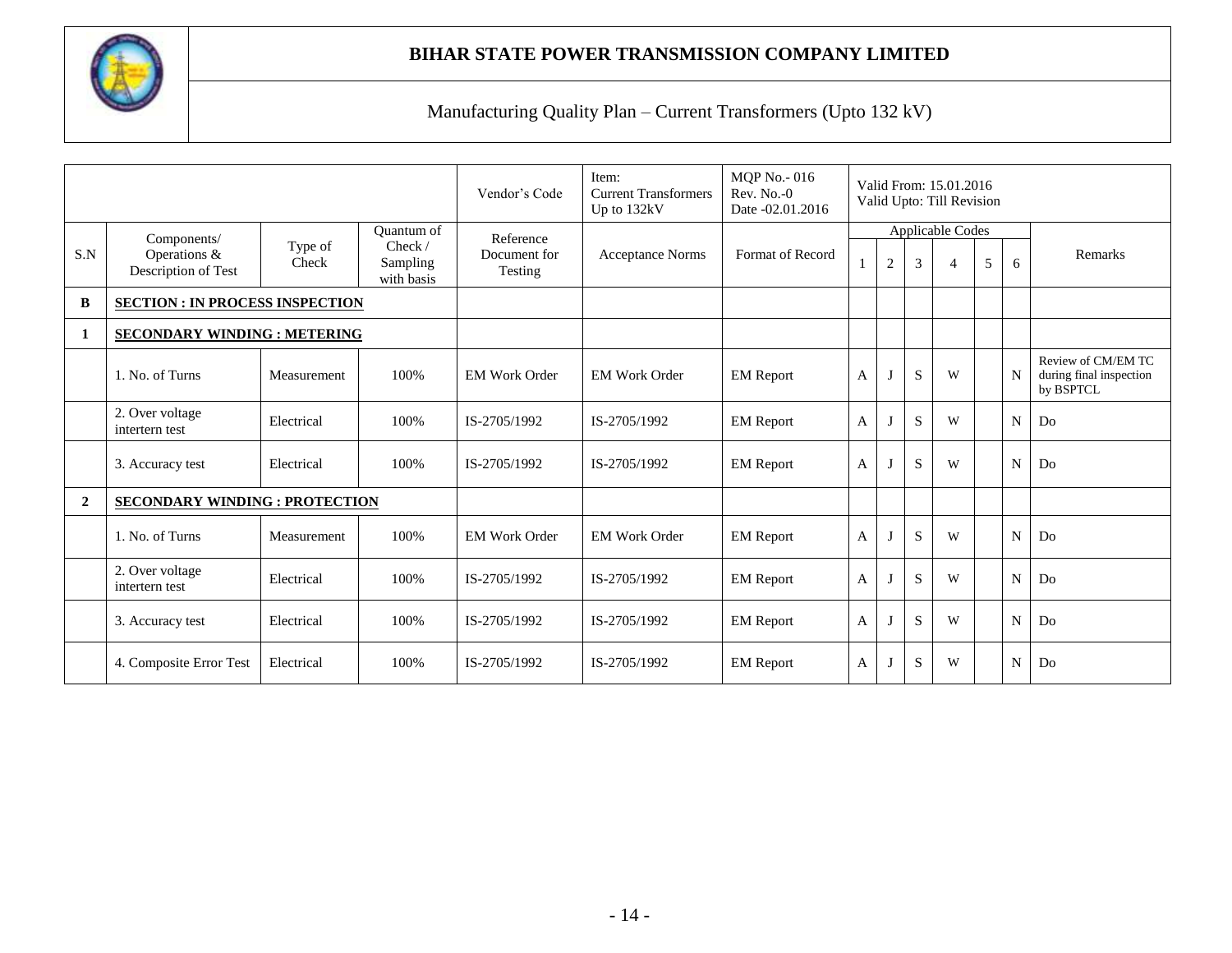

|                |                                        |                  |                                   | Vendor's Code           | Item:<br><b>Current Transformers</b><br>Up to 132kV | <b>MQP</b> No. - 016<br>$Rev. No. -0$<br>Date -02.01.2016 |   | Valid From: 15.01.2016<br>Valid Upto: Till Revision |           |                  |   |             |                                                            |
|----------------|----------------------------------------|------------------|-----------------------------------|-------------------------|-----------------------------------------------------|-----------------------------------------------------------|---|-----------------------------------------------------|-----------|------------------|---|-------------|------------------------------------------------------------|
|                | Components/                            |                  | Quantum of                        | Reference               |                                                     |                                                           |   |                                                     |           | Applicable Codes |   |             |                                                            |
| S.N            | Operations &<br>Description of Test    | Type of<br>Check | Check /<br>Sampling<br>with basis | Document for<br>Testing | <b>Acceptance Norms</b>                             | Format of Record                                          |   | $\mathbf{2}$                                        | 3         | $\overline{4}$   | 5 | 6           | Remarks                                                    |
| B              | <b>SECTION : IN PROCESS INSPECTION</b> |                  |                                   |                         |                                                     |                                                           |   |                                                     |           |                  |   |             |                                                            |
| 1              | <b>SECONDARY WINDING : METERING</b>    |                  |                                   |                         |                                                     |                                                           |   |                                                     |           |                  |   |             |                                                            |
|                | 1. No. of Turns                        | Measurement      | 100%                              | <b>EM Work Order</b>    | <b>EM Work Order</b>                                | <b>EM</b> Report                                          | A | $\mathbf{J}$                                        | S         | W                |   | N           | Review of CM/EM TC<br>during final inspection<br>by BSPTCL |
|                | 2. Over voltage<br>intertern test      | Electrical       | 100%                              | IS-2705/1992            | IS-2705/1992                                        | <b>EM</b> Report                                          | A | J                                                   | S         | W                |   | N           | Do                                                         |
|                | 3. Accuracy test                       | Electrical       | 100%                              | IS-2705/1992            | IS-2705/1992                                        | <b>EM</b> Report                                          | A | J                                                   | S         | W                |   | N           | Do                                                         |
| $\overline{2}$ | <b>SECONDARY WINDING : PROTECTION</b>  |                  |                                   |                         |                                                     |                                                           |   |                                                     |           |                  |   |             |                                                            |
|                | 1. No. of Turns                        | Measurement      | 100%                              | <b>EM Work Order</b>    | <b>EM Work Order</b>                                | <b>EM Report</b>                                          | A | J                                                   | S         | W                |   | N           | Do                                                         |
|                | 2. Over voltage<br>intertern test      | Electrical       | 100%                              | IS-2705/1992            | IS-2705/1992                                        | <b>EM Report</b>                                          | A | J                                                   | S         | W                |   | $\mathbf N$ | Do                                                         |
|                | 3. Accuracy test                       | Electrical       | 100%                              | IS-2705/1992            | IS-2705/1992                                        | <b>EM Report</b>                                          | A | J                                                   | S         | W                |   | $\mathbf N$ | Do                                                         |
|                | 4. Composite Error Test                | Electrical       | 100%                              | IS-2705/1992            | IS-2705/1992                                        | <b>EM Report</b>                                          | А | J                                                   | ${\bf S}$ | W                |   | N           | Do                                                         |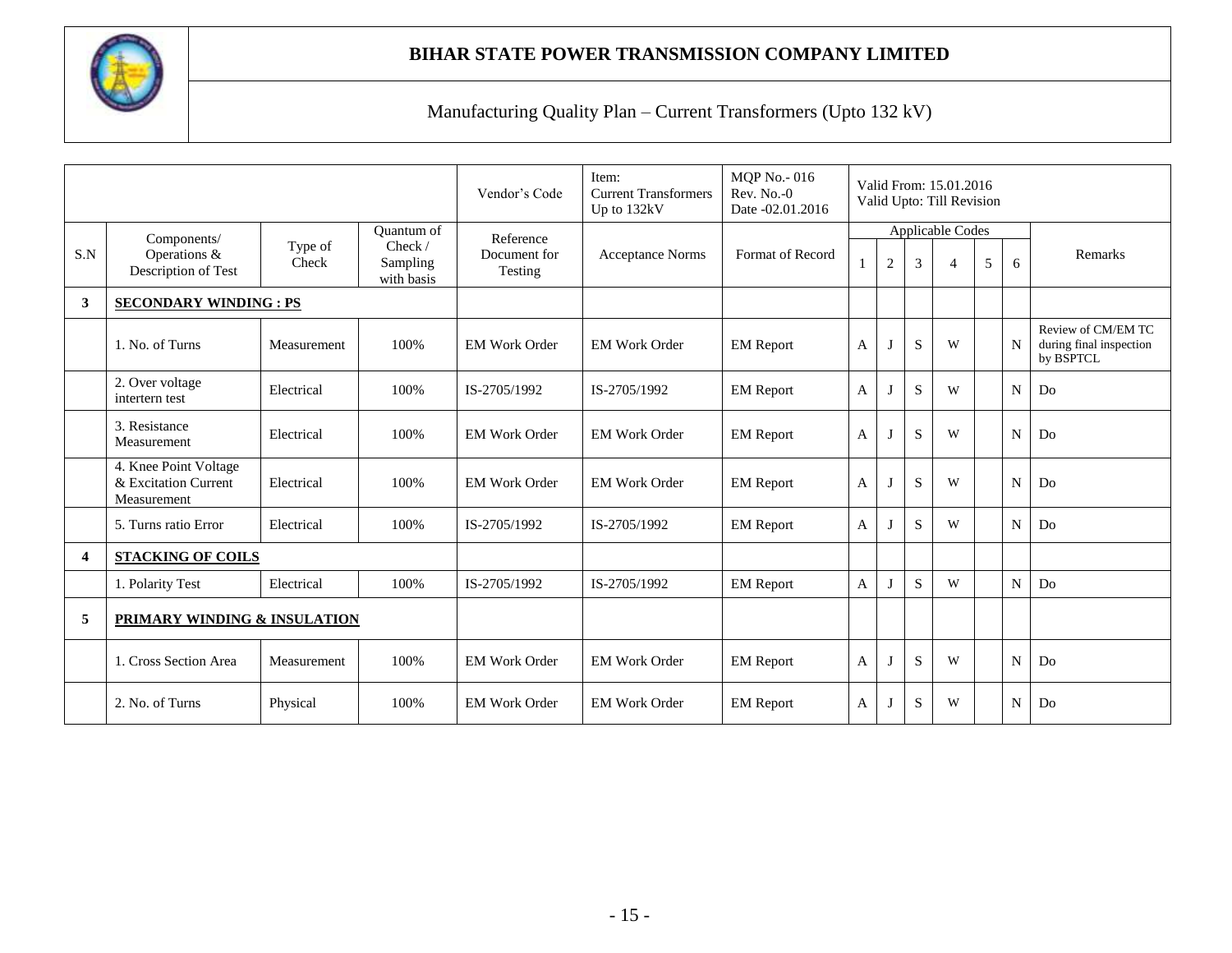

|                         |                                                              |                  |                                   | Vendor's Code           | Item:<br><b>Current Transformers</b><br>Up to 132kV | <b>MQP</b> No. - 016<br>$Rev. No. -0$<br>Date -02.01.2016 |              | Valid From: 15.01.2016<br>Valid Upto: Till Revision |   |                  |             |                                                            |         |
|-------------------------|--------------------------------------------------------------|------------------|-----------------------------------|-------------------------|-----------------------------------------------------|-----------------------------------------------------------|--------------|-----------------------------------------------------|---|------------------|-------------|------------------------------------------------------------|---------|
|                         | Components/                                                  |                  | <b>Ouantum of</b>                 | Reference               |                                                     |                                                           |              |                                                     |   | Applicable Codes |             |                                                            |         |
| S.N                     | Operations &<br>Description of Test                          | Type of<br>Check | Check /<br>Sampling<br>with basis | Document for<br>Testing | <b>Acceptance Norms</b>                             | Format of Record                                          |              | $\overline{2}$                                      | 3 | 4                | 5           | 6                                                          | Remarks |
| 3                       | <b>SECONDARY WINDING: PS</b>                                 |                  |                                   |                         |                                                     |                                                           |              |                                                     |   |                  |             |                                                            |         |
|                         | 1. No. of Turns<br>100%<br>Measurement                       |                  | <b>EM Work Order</b>              | <b>EM Work Order</b>    | <b>EM</b> Report                                    | A                                                         | $\mathbf{J}$ | S                                                   | W |                  | $\mathbf N$ | Review of CM/EM TC<br>during final inspection<br>by BSPTCL |         |
|                         | 2. Over voltage<br>intertern test                            | Electrical       | 100%                              | IS-2705/1992            | IS-2705/1992                                        | <b>EM</b> Report                                          | A            |                                                     | S | W                |             | $\overline{N}$                                             | Do      |
|                         | 3. Resistance<br>Measurement                                 | Electrical       | 100%                              | <b>EM Work Order</b>    | <b>EM Work Order</b>                                | <b>EM Report</b>                                          | A            | $\lceil$                                            | S | W                |             | N                                                          | Do      |
|                         | 4. Knee Point Voltage<br>& Excitation Current<br>Measurement | Electrical       | 100%                              | <b>EM Work Order</b>    | <b>EM Work Order</b>                                | <b>EM</b> Report                                          | A            | -1                                                  | S | W                |             | N                                                          | Do      |
|                         | 5. Turns ratio Error                                         | Electrical       | 100%                              | IS-2705/1992            | IS-2705/1992                                        | <b>EM</b> Report                                          | A            |                                                     | S | W                |             | N                                                          | Do      |
| $\overline{\mathbf{4}}$ | <b>STACKING OF COILS</b>                                     |                  |                                   |                         |                                                     |                                                           |              |                                                     |   |                  |             |                                                            |         |
|                         | 1. Polarity Test                                             | Electrical       | 100%                              | IS-2705/1992            | IS-2705/1992                                        | <b>EM</b> Report                                          | A            |                                                     | S | W                |             | N                                                          | Do      |
| 5                       | PRIMARY WINDING & INSULATION                                 |                  |                                   |                         |                                                     |                                                           |              |                                                     |   |                  |             |                                                            |         |
|                         | 1. Cross Section Area                                        | Measurement      | 100%                              | <b>EM Work Order</b>    | <b>EM Work Order</b>                                | <b>EM</b> Report                                          | A            |                                                     | S | W                |             | N                                                          | Do      |
|                         | 2. No. of Turns<br>100%<br>Physical                          |                  | <b>EM Work Order</b>              | <b>EM Work Order</b>    | <b>EM</b> Report                                    | A                                                         |              | S                                                   | W |                  | N           | Do                                                         |         |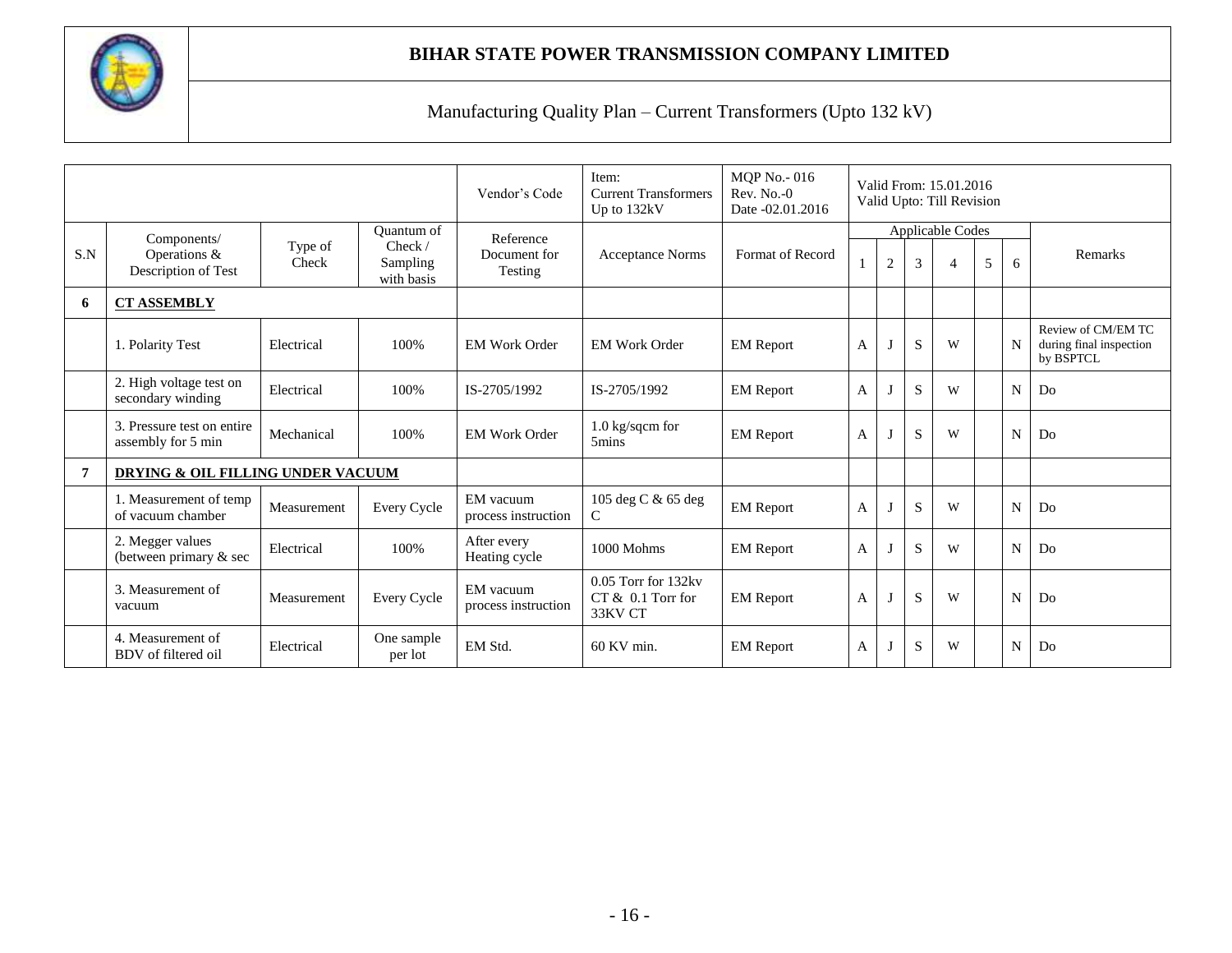

|     |                                                                  |                  |                                   | Vendor's Code                    | Item:<br><b>Current Transformers</b><br>Up to 132kV   | <b>MQP No.-016</b><br>$Rev. No. -0$<br>Date -02.01.2016 |   | Valid From: 15.01.2016<br>Valid Upto: Till Revision |             |                  |   |    |                                                            |
|-----|------------------------------------------------------------------|------------------|-----------------------------------|----------------------------------|-------------------------------------------------------|---------------------------------------------------------|---|-----------------------------------------------------|-------------|------------------|---|----|------------------------------------------------------------|
|     | Components/                                                      |                  | Quantum of                        | Reference                        |                                                       |                                                         |   |                                                     |             | Applicable Codes |   |    |                                                            |
| S.N | Operations &<br>Description of Test                              | Type of<br>Check | Check /<br>Sampling<br>with basis | Document for<br><b>Testing</b>   | <b>Acceptance Norms</b>                               | Format of Record                                        |   | $\sqrt{2}$                                          | 3           | 4                | 5 | 6  | Remarks                                                    |
| 6   | <b>CT ASSEMBLY</b>                                               |                  |                                   |                                  |                                                       |                                                         |   |                                                     |             |                  |   |    |                                                            |
|     | 1. Polarity Test                                                 | Electrical       | 100%                              | <b>EM Work Order</b>             | <b>EM Work Order</b>                                  | <b>EM</b> Report                                        | A | $\lceil$                                            | S           | W                |   | N  | Review of CM/EM TC<br>during final inspection<br>by BSPTCL |
|     | 2. High voltage test on<br>secondary winding                     | Electrical       | 100%                              | IS-2705/1992                     | IS-2705/1992                                          | <b>EM Report</b>                                        | A |                                                     | S           | W                |   | N  | Do                                                         |
|     | 3. Pressure test on entire<br>assembly for 5 min                 | Mechanical       | 100%                              | <b>EM Work Order</b>             | 1.0 kg/sqcm for<br>5mins                              | <b>EM Report</b>                                        | A |                                                     | S           | W                |   | N  | Do                                                         |
| 7   | DRYING & OIL FILLING UNDER VACUUM                                |                  |                                   |                                  |                                                       |                                                         |   |                                                     |             |                  |   |    |                                                            |
|     | 1. Measurement of temp<br>of vacuum chamber                      | Measurement      | Every Cycle                       | EM vacuum<br>process instruction | 105 deg C & 65 deg<br>C                               | <b>EM Report</b>                                        | A |                                                     | S           | W                |   | N  | Do                                                         |
|     | 2. Megger values<br>100%<br>Electrical<br>(between primary & sec |                  | After every<br>Heating cycle      | 1000 Mohms                       | <b>EM</b> Report                                      | A                                                       |   | S                                                   | W           |                  | N | Do |                                                            |
|     | 3. Measurement of<br>vacuum                                      | Measurement      | Every Cycle                       | EM vacuum<br>process instruction | 0.05 Torr for 132kv<br>$CT & 0.1$ Torr for<br>33KV CT | <b>EM</b> Report                                        | A | $\mathbf{J}$                                        | S           | W                |   | N  | Do                                                         |
|     | 4. Measurement of<br>BDV of filtered oil                         | Electrical       | One sample<br>per lot             | EM Std.                          | $60$ KV min.                                          | <b>EM Report</b>                                        | A |                                                     | $\mathbf S$ | W                |   | N  | Do                                                         |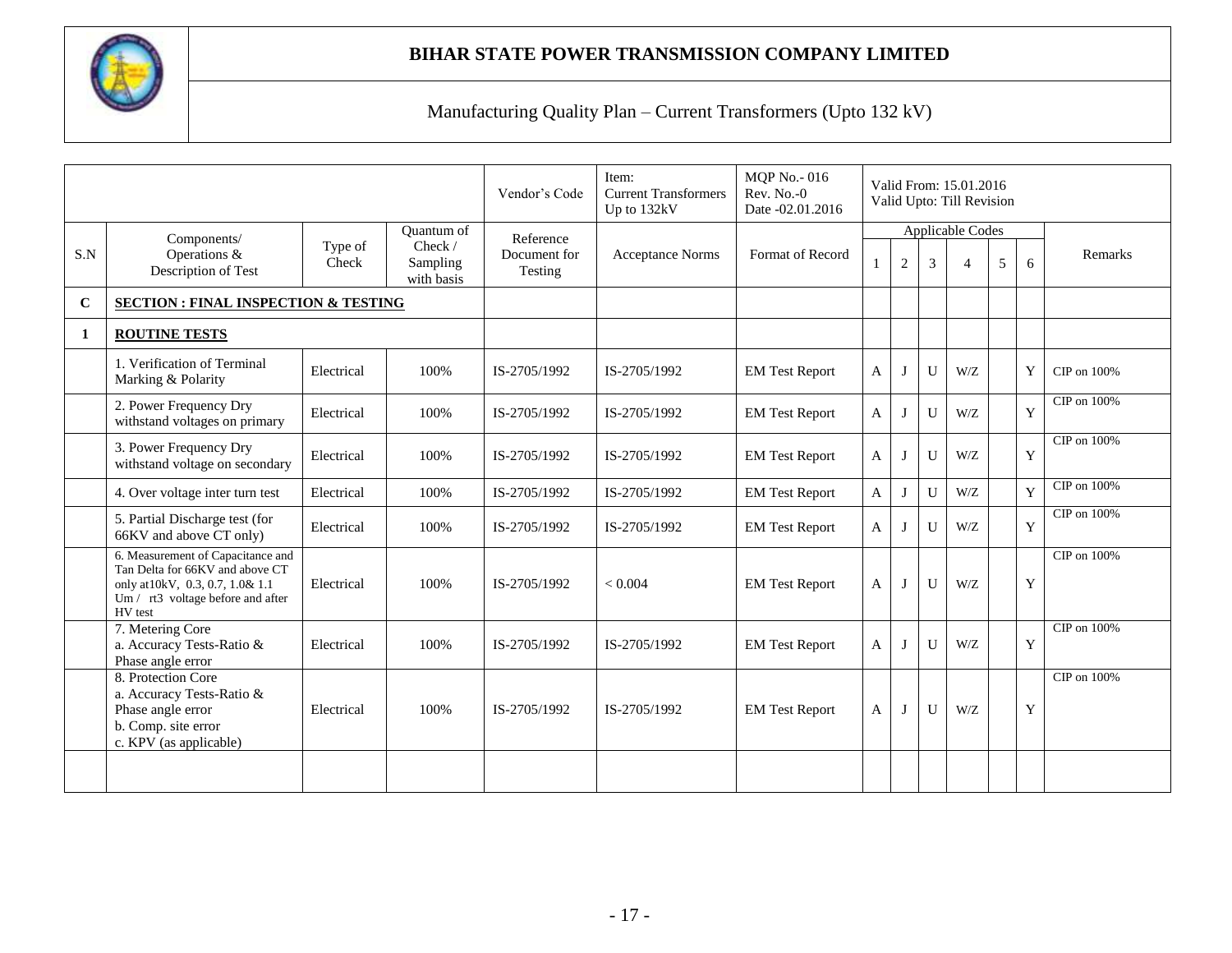

|     |                                                                                                                                                          |                  |                                                 | Vendor's Code                        | Item:<br><b>Current Transformers</b><br>Up to 132kV | <b>MQP No.-016</b><br>$Rev. No. -0$<br>Date -02.01.2016 | Valid From: 15.01.2016<br>Valid Upto: Till Revision |                                                                                    |              |         |  |   |                |
|-----|----------------------------------------------------------------------------------------------------------------------------------------------------------|------------------|-------------------------------------------------|--------------------------------------|-----------------------------------------------------|---------------------------------------------------------|-----------------------------------------------------|------------------------------------------------------------------------------------|--------------|---------|--|---|----------------|
| S.N | Components/<br>Operations &<br>Description of Test                                                                                                       | Type of<br>Check | Quantum of<br>Check /<br>Sampling<br>with basis | Reference<br>Document for<br>Testing | <b>Acceptance Norms</b>                             | Format of Record                                        |                                                     | <b>Applicable Codes</b><br>$\mathbf{2}$<br>5<br>3<br>6<br>$\boldsymbol{\varDelta}$ |              | Remarks |  |   |                |
| C   | <b>SECTION: FINAL INSPECTION &amp; TESTING</b>                                                                                                           |                  |                                                 |                                      |                                                     |                                                         |                                                     |                                                                                    |              |         |  |   |                |
| 1   | <b>ROUTINE TESTS</b>                                                                                                                                     |                  |                                                 |                                      |                                                     |                                                         |                                                     |                                                                                    |              |         |  |   |                |
|     | 1. Verification of Terminal<br>Marking & Polarity                                                                                                        | Electrical       | 100%                                            | IS-2705/1992                         | IS-2705/1992                                        | <b>EM Test Report</b>                                   | $\mathbf{A}$                                        | $\bf{J}$                                                                           | $\mathbf{U}$ | W/Z     |  | Y | CIP on 100%    |
|     | 2. Power Frequency Dry<br>withstand voltages on primary                                                                                                  | Electrical       | 100%                                            | IS-2705/1992                         | IS-2705/1992                                        | <b>EM Test Report</b>                                   | $\mathbf{A}$                                        | J                                                                                  | U            | W/Z     |  | Y | CIP on 100%    |
|     | 3. Power Frequency Dry<br>withstand voltage on secondary                                                                                                 | Electrical       | 100%                                            | IS-2705/1992                         | IS-2705/1992                                        | <b>EM Test Report</b>                                   | $\mathbf{A}$                                        | J                                                                                  | U            | W/Z     |  | Y | CIP on $100\%$ |
|     | 4. Over voltage inter turn test                                                                                                                          | Electrical       | 100%                                            | IS-2705/1992                         | IS-2705/1992                                        | <b>EM Test Report</b>                                   | $\mathsf{A}$                                        | $\mathbf I$                                                                        | $\mathbf{U}$ | W/Z     |  | Y | CIP on 100%    |
|     | 5. Partial Discharge test (for<br>66KV and above CT only)                                                                                                | Electrical       | 100%                                            | IS-2705/1992                         | IS-2705/1992                                        | <b>EM Test Report</b>                                   | $\mathbf{A}$                                        | J                                                                                  | U            | W/Z     |  | Y | CIP on 100%    |
|     | 6. Measurement of Capacitance and<br>Tan Delta for 66KV and above CT<br>only at 10kV, 0.3, 0.7, 1.0& 1.1<br>Um / rt3 voltage before and after<br>HV test | Electrical       | 100%                                            | IS-2705/1992                         | ${}_{< 0.004}$                                      | <b>EM Test Report</b>                                   | $\overline{A}$                                      | J                                                                                  | $\mathbf{U}$ | W/Z     |  | Y | CIP on 100%    |
|     | 7. Metering Core<br>a. Accuracy Tests-Ratio &<br>Phase angle error                                                                                       | Electrical       | 100%                                            | IS-2705/1992                         | IS-2705/1992                                        | <b>EM Test Report</b>                                   | $\mathbf{A}$                                        | J                                                                                  | $\mathbf{U}$ | W/Z     |  | Y | CIP on 100%    |
|     | 8. Protection Core<br>a. Accuracy Tests-Ratio &<br>Phase angle error<br>b. Comp. site error<br>c. KPV (as applicable)                                    | Electrical       | 100%                                            | IS-2705/1992                         | IS-2705/1992                                        | <b>EM Test Report</b>                                   | $\mathsf{A}$                                        | J                                                                                  | U            | W/Z     |  | Y | CIP on 100%    |
|     |                                                                                                                                                          |                  |                                                 |                                      |                                                     |                                                         |                                                     |                                                                                    |              |         |  |   |                |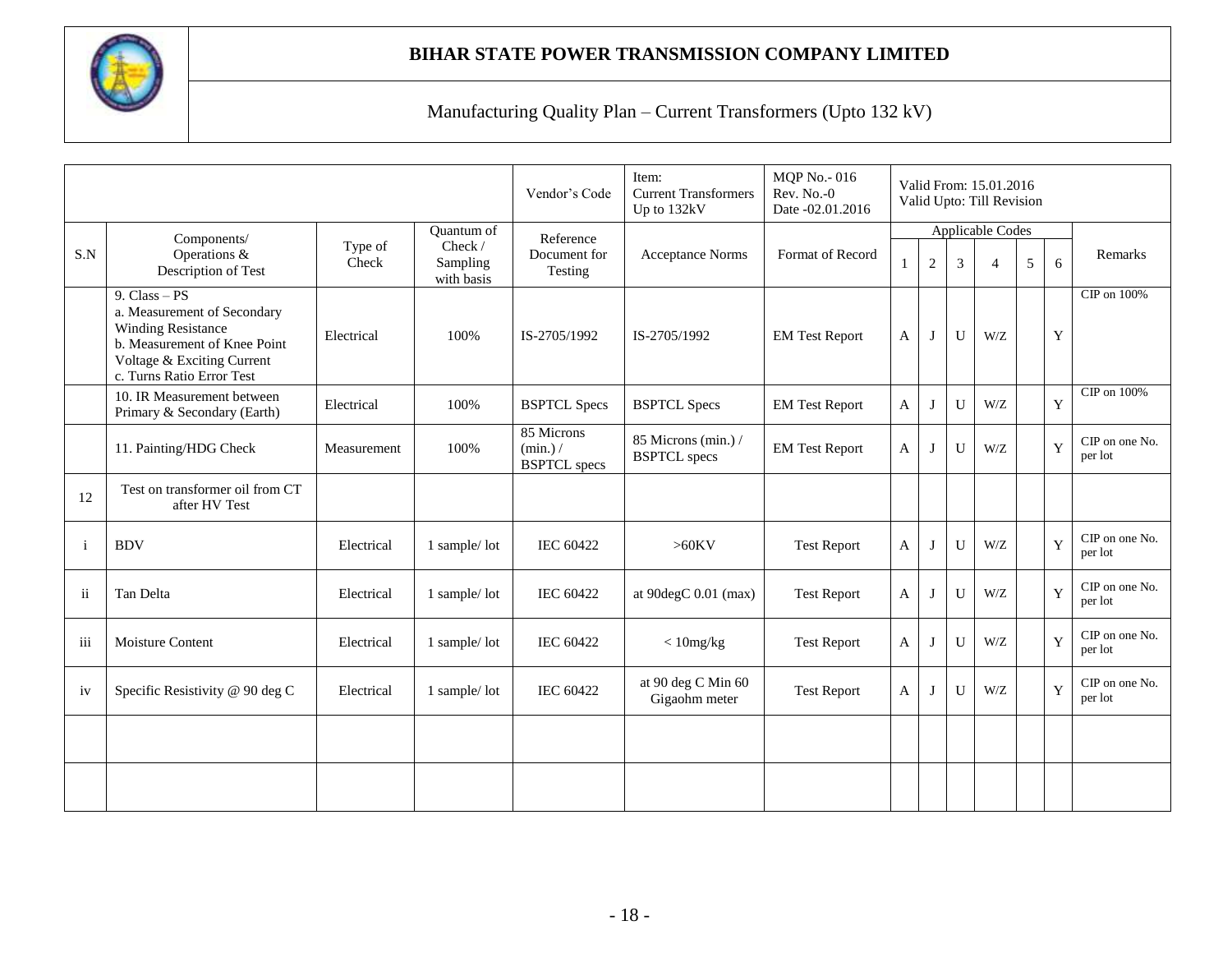

|              |                                                                                                                                                                        |                  | Vendor's Code                                   | Item:<br><b>Current Transformers</b><br>Up to 132kV | <b>MQP</b> No. - 016<br>Rev. No.-0<br>Date -02.01.2016 |                       |                |              | Valid From: 15.01.2016<br>Valid Upto: Till Revision |         |             |                           |
|--------------|------------------------------------------------------------------------------------------------------------------------------------------------------------------------|------------------|-------------------------------------------------|-----------------------------------------------------|--------------------------------------------------------|-----------------------|----------------|--------------|-----------------------------------------------------|---------|-------------|---------------------------|
| S.N          | Components/<br>Operations &<br>Description of Test                                                                                                                     | Type of<br>Check | Quantum of<br>Check /<br>Sampling<br>with basis | Reference<br>Document for<br>Testing                | <b>Acceptance Norms</b>                                | Format of Record      |                | $\mathbf{2}$ | <b>Applicable Codes</b><br>3                        | Remarks |             |                           |
|              | 9. $Class - PS$<br>a. Measurement of Secondary<br><b>Winding Resistance</b><br>b. Measurement of Knee Point<br>Voltage & Exciting Current<br>c. Turns Ratio Error Test | Electrical       | 100%                                            | IS-2705/1992                                        | IS-2705/1992                                           | <b>EM Test Report</b> | $\mathbf{A}$   | J            | $\mathbf{U}$                                        | W/Z     | Y           | CIP on 100%               |
|              | 10. IR Measurement between<br>Primary & Secondary (Earth)                                                                                                              | Electrical       | 100%                                            | <b>BSPTCL Specs</b>                                 | <b>BSPTCL Specs</b>                                    | <b>EM Test Report</b> | A              | $\bf{J}$     | $\mathbf{U}$                                        | W/Z     | Y           | CIP on 100%               |
|              | 11. Painting/HDG Check                                                                                                                                                 | Measurement      | 100%                                            | 85 Microns<br>(min.)/<br><b>BSPTCL</b> specs        | 85 Microns (min.) /<br><b>BSPTCL</b> specs             | <b>EM Test Report</b> | $\mathbf{A}$   | Т            | $\mathbf{U}$                                        | W/Z     | Y           | CIP on one No.<br>per lot |
| 12           | Test on transformer oil from CT<br>after HV Test                                                                                                                       |                  |                                                 |                                                     |                                                        |                       |                |              |                                                     |         |             |                           |
| <sup>i</sup> | <b>BDV</b>                                                                                                                                                             | Electrical       | 1 sample/lot                                    | <b>IEC 60422</b>                                    | $>60$ KV                                               | <b>Test Report</b>    | $\overline{A}$ | J            | U                                                   | W/Z     | $\mathbf Y$ | CIP on one No.<br>per lot |
| ii           | Tan Delta                                                                                                                                                              | Electrical       | 1 sample/lot                                    | <b>IEC 60422</b>                                    | at 90degC 0.01 (max)                                   | <b>Test Report</b>    | A              | I            | $\mathbf{U}$                                        | W/Z     | Y           | CIP on one No.<br>per lot |
| iii          | Moisture Content                                                                                                                                                       | Electrical       | 1 sample/lot                                    | <b>IEC 60422</b>                                    | $<$ 10mg/kg                                            | <b>Test Report</b>    | $\mathbf{A}$   | J            | $\mathbf{U}$                                        | W/Z     | Y           | CIP on one No.<br>per lot |
| iv           | Specific Resistivity @ 90 deg C                                                                                                                                        | Electrical       | 1 sample/lot                                    | <b>IEC 60422</b>                                    | at 90 deg C Min 60<br>Gigaohm meter                    | <b>Test Report</b>    | A              | $\bf{J}$     | U                                                   | W/Z     | Y           | CIP on one No.<br>per lot |
|              |                                                                                                                                                                        |                  |                                                 |                                                     |                                                        |                       |                |              |                                                     |         |             |                           |
|              |                                                                                                                                                                        |                  |                                                 |                                                     |                                                        |                       |                |              |                                                     |         |             |                           |